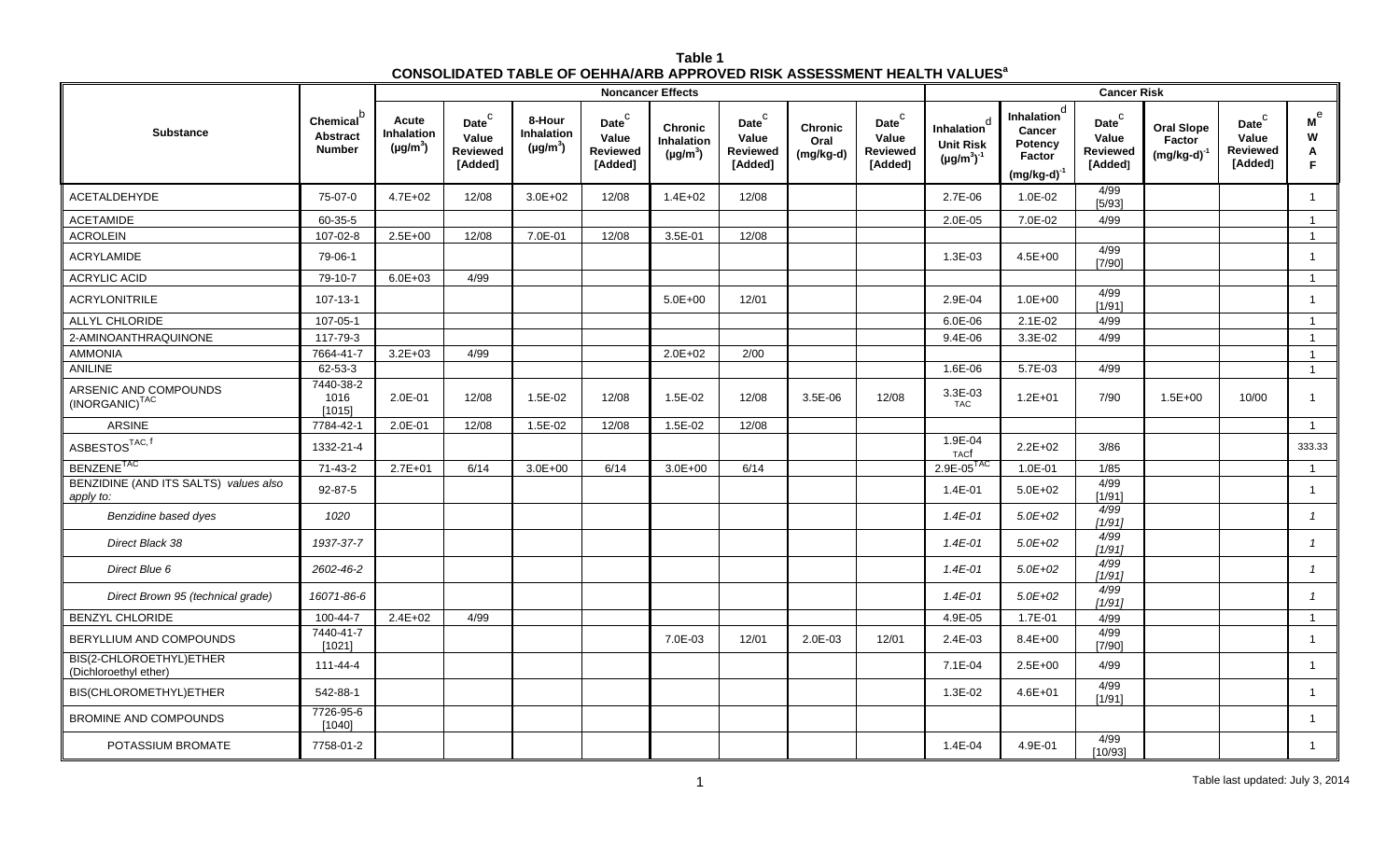| Table 1                                                                                   |  |
|-------------------------------------------------------------------------------------------|--|
| <b>CONSOLIDATED TABLE OF OEHHA/ARB APPROVED RISK ASSESSMENT HEALTH VALUES<sup>8</sup></b> |  |

|                                                     |                                                           |                                      |                                                          |                                       |                                                            | <b>Noncancer Effects</b>                      |                                                                   |                                     |                                                          |                                                      |                                                                                   | <b>Cancer Risk</b>                                                 |                                                 |                                                          |                             |
|-----------------------------------------------------|-----------------------------------------------------------|--------------------------------------|----------------------------------------------------------|---------------------------------------|------------------------------------------------------------|-----------------------------------------------|-------------------------------------------------------------------|-------------------------------------|----------------------------------------------------------|------------------------------------------------------|-----------------------------------------------------------------------------------|--------------------------------------------------------------------|-------------------------------------------------|----------------------------------------------------------|-----------------------------|
| <b>Substance</b>                                    | Chemical <sup>b</sup><br><b>Abstract</b><br><b>Number</b> | Acute<br>Inhalation<br>$(\mu g/m^3)$ | Date <sup>C</sup><br>Value<br><b>Reviewed</b><br>[Added] | 8-Hour<br>Inhalation<br>$(\mu g/m^3)$ | $\mathsf{Date}^\mathsf{C}$<br>Value<br>Reviewed<br>[Added] | <b>Chronic</b><br>Inhalation<br>$(\mu g/m^3)$ | $\mathsf{Date}^\mathsf{C}$<br>Value<br><b>Reviewed</b><br>[Added] | <b>Chronic</b><br>Oral<br>(mg/kg-d) | Date <sup>C</sup><br>Value<br><b>Reviewed</b><br>[Added] | Inhalation<br><b>Unit Risk</b><br>$(\mu g/m^3)^{-1}$ | Inhalation <sup>d</sup><br>Cancer<br><b>Potency</b><br>Factor<br>$(mg/kg-d)^{-1}$ | $\mathsf{Date}^\complement$<br>Value<br><b>Reviewed</b><br>[Added] | <b>Oral Slope</b><br>Factor<br>$(mg/kg-d)^{-1}$ | Date <sup>C</sup><br>Value<br><b>Reviewed</b><br>[Added] | м $^{\rm e}$<br>W<br>A<br>F |
| ACETALDEHYDE                                        | 75-07-0                                                   | $4.7E + 02$                          | 12/08                                                    | $3.0E + 02$                           | 12/08                                                      | $1.4E + 02$                                   | 12/08                                                             |                                     |                                                          | 2.7E-06                                              | 1.0E-02                                                                           | 4/99<br>[5/93]                                                     |                                                 |                                                          | $\overline{1}$              |
| <b>ACETAMIDE</b>                                    | 60-35-5                                                   |                                      |                                                          |                                       |                                                            |                                               |                                                                   |                                     |                                                          | 2.0E-05                                              | 7.0E-02                                                                           | 4/99                                                               |                                                 |                                                          | $\overline{1}$              |
| <b>ACROLEIN</b>                                     | 107-02-8                                                  | $2.5E + 00$                          | 12/08                                                    | 7.0E-01                               | 12/08                                                      | 3.5E-01                                       | 12/08                                                             |                                     |                                                          |                                                      |                                                                                   |                                                                    |                                                 |                                                          | $\overline{1}$              |
| ACRYLAMIDE                                          | 79-06-1                                                   |                                      |                                                          |                                       |                                                            |                                               |                                                                   |                                     |                                                          | 1.3E-03                                              | $4.5E + 00$                                                                       | 4/99<br>[7/90]                                                     |                                                 |                                                          | $\overline{1}$              |
| <b>ACRYLIC ACID</b>                                 | 79-10-7                                                   | $6.0E + 03$                          | 4/99                                                     |                                       |                                                            |                                               |                                                                   |                                     |                                                          |                                                      |                                                                                   |                                                                    |                                                 |                                                          | $\mathbf{1}$                |
| <b>ACRYLONITRILE</b>                                | $107 - 13 - 1$                                            |                                      |                                                          |                                       |                                                            | $5.0E + 00$                                   | 12/01                                                             |                                     |                                                          | 2.9E-04                                              | $1.0E + 00$                                                                       | 4/99<br>[1/91]                                                     |                                                 |                                                          | $\mathbf{1}$                |
| <b>ALLYL CHLORIDE</b>                               | 107-05-1                                                  |                                      |                                                          |                                       |                                                            |                                               |                                                                   |                                     |                                                          | 6.0E-06                                              | $2.1E-02$                                                                         | 4/99                                                               |                                                 |                                                          | $\mathbf{1}$                |
| 2-AMINOANTHRAQUINONE                                | 117-79-3                                                  |                                      |                                                          |                                       |                                                            |                                               |                                                                   |                                     |                                                          | $9.4E - 06$                                          | 3.3E-02                                                                           | 4/99                                                               |                                                 |                                                          | $\overline{1}$              |
| <b>AMMONIA</b>                                      | 7664-41-7                                                 | $3.2E + 03$                          | 4/99                                                     |                                       |                                                            | $2.0E + 02$                                   | 2/00                                                              |                                     |                                                          |                                                      |                                                                                   |                                                                    |                                                 |                                                          | $\overline{1}$              |
| <b>ANILINE</b>                                      | 62-53-3                                                   |                                      |                                                          |                                       |                                                            |                                               |                                                                   |                                     |                                                          | 1.6E-06                                              | 5.7E-03                                                                           | 4/99                                                               |                                                 |                                                          | $\overline{1}$              |
| ARSENIC AND COMPOUNDS<br>(INORGANIC) <sup>TAC</sup> | 7440-38-2<br>1016<br>[1015]                               | 2.0E-01                              | 12/08                                                    | 1.5E-02                               | 12/08                                                      | 1.5E-02                                       | 12/08                                                             | 3.5E-06                             | 12/08                                                    | 3.3E-03<br><b>TAC</b>                                | $1.2E + 01$                                                                       | 7/90                                                               | $1.5E + 00$                                     | 10/00                                                    | $\mathbf{1}$                |
| <b>ARSINE</b>                                       | 7784-42-1                                                 | 2.0E-01                              | 12/08                                                    | 1.5E-02                               | 12/08                                                      | 1.5E-02                                       | 12/08                                                             |                                     |                                                          |                                                      |                                                                                   |                                                                    |                                                 |                                                          | $\overline{1}$              |
| $\mathsf{ASBESTOS}^{\mathsf{TAC},\,\mathsf{f}}$     | 1332-21-4                                                 |                                      |                                                          |                                       |                                                            |                                               |                                                                   |                                     |                                                          | 1.9E-04<br><b>TACf</b>                               | $2.2E + 02$                                                                       | 3/86                                                               |                                                 |                                                          | 333.33                      |
| BENZENE <sup>TAC</sup>                              | 71-43-2                                                   | $2.7E + 01$                          | 6/14                                                     | $3.0E + 00$                           | 6/14                                                       | $3.0E + 00$                                   | 6/14                                                              |                                     |                                                          | $2.9E - 05$ <sup>TAC</sup>                           | 1.0E-01                                                                           | 1/85                                                               |                                                 |                                                          | $\overline{1}$              |
| BENZIDINE (AND ITS SALTS) values also<br>apply to:  | $92 - 87 - 5$                                             |                                      |                                                          |                                       |                                                            |                                               |                                                                   |                                     |                                                          | 1.4E-01                                              | $5.0E + 02$                                                                       | 4/99<br>[1/91]                                                     |                                                 |                                                          | $\mathbf{1}$                |
| Benzidine based dyes                                | 1020                                                      |                                      |                                                          |                                       |                                                            |                                               |                                                                   |                                     |                                                          | $1.4E - 01$                                          | $5.0E + 02$                                                                       | 4/99<br>[1/91]                                                     |                                                 |                                                          | $\mathbf{1}$                |
| Direct Black 38                                     | 1937-37-7                                                 |                                      |                                                          |                                       |                                                            |                                               |                                                                   |                                     |                                                          | $1.4E - 01$                                          | $5.0E + 02$                                                                       | 4/99<br>1/91                                                       |                                                 |                                                          | $\mathbf{1}$                |
| Direct Blue 6                                       | 2602-46-2                                                 |                                      |                                                          |                                       |                                                            |                                               |                                                                   |                                     |                                                          | $1.4E - 01$                                          | $5.0E + 02$                                                                       | 4/99<br>[1/91]                                                     |                                                 |                                                          | $\mathbf{1}$                |
| Direct Brown 95 (technical grade)                   | 16071-86-6                                                |                                      |                                                          |                                       |                                                            |                                               |                                                                   |                                     |                                                          | 1.4E-01                                              | $5.0E + 02$                                                                       | 4/99<br>[1/91]                                                     |                                                 |                                                          | $\overline{1}$              |
| <b>BENZYL CHLORIDE</b>                              | 100-44-7                                                  | $2.4E + 02$                          | 4/99                                                     |                                       |                                                            |                                               |                                                                   |                                     |                                                          | 4.9E-05                                              | 1.7E-01                                                                           | 4/99                                                               |                                                 |                                                          | $\overline{1}$              |
| BERYLLIUM AND COMPOUNDS                             | 7440-41-7<br>[1021]                                       |                                      |                                                          |                                       |                                                            | 7.0E-03                                       | 12/01                                                             | 2.0E-03                             | 12/01                                                    | $2.4E-03$                                            | $8.4E + 00$                                                                       | 4/99<br>[7/90]                                                     |                                                 |                                                          | $\overline{1}$              |
| BIS(2-CHLOROETHYL)ETHER<br>(Dichloroethyl ether)    | 111-44-4                                                  |                                      |                                                          |                                       |                                                            |                                               |                                                                   |                                     |                                                          | 7.1E-04                                              | $2.5E + 00$                                                                       | 4/99                                                               |                                                 |                                                          | $\overline{1}$              |
| BIS(CHLOROMETHYL)ETHER                              | 542-88-1                                                  |                                      |                                                          |                                       |                                                            |                                               |                                                                   |                                     |                                                          | 1.3E-02                                              | $4.6E + 01$                                                                       | 4/99<br>[1/91]                                                     |                                                 |                                                          | $\overline{1}$              |
| <b>BROMINE AND COMPOUNDS</b>                        | 7726-95-6<br>[1040]                                       |                                      |                                                          |                                       |                                                            |                                               |                                                                   |                                     |                                                          |                                                      |                                                                                   |                                                                    |                                                 |                                                          | $\mathbf{1}$                |
| POTASSIUM BROMATE                                   | 7758-01-2                                                 |                                      |                                                          |                                       |                                                            |                                               |                                                                   |                                     |                                                          | 1.4E-04                                              | 4.9E-01                                                                           | 4/99<br>[10/93]                                                    |                                                 |                                                          | $\mathbf{1}$                |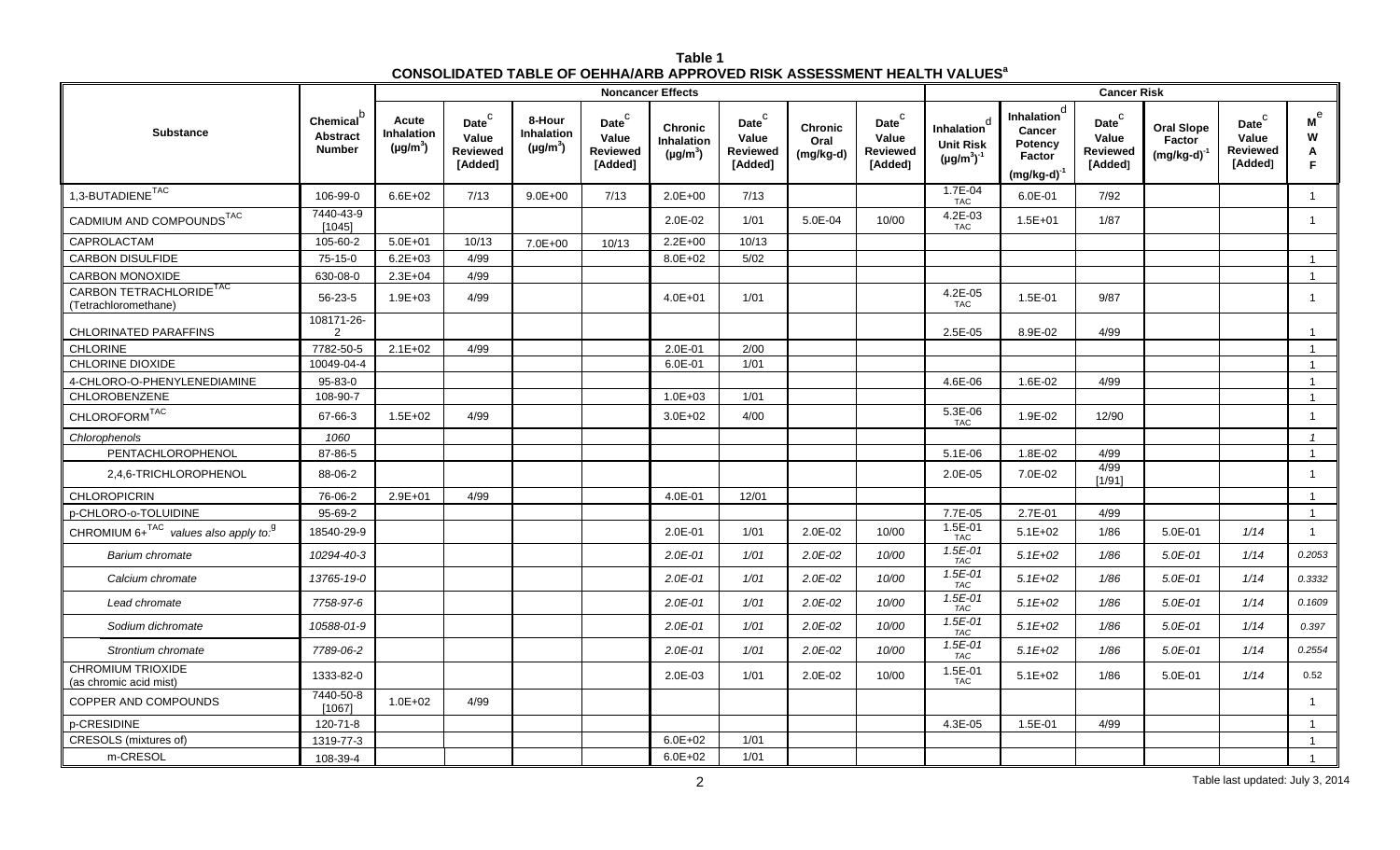| Table 1                                                                             |  |
|-------------------------------------------------------------------------------------|--|
| CONSOLIDATED TABLE OF OEHHA/ARB APPROVED RISK ASSESSMENT HEALTH VALUES <sup>a</sup> |  |

|                                                             |                                                  |                                             |                                                          |                                       |                                                   | <b>Noncancer Effects</b>                             |                                                            |                                     |                                                   |                                                                  |                                                                                   | <b>Cancer Risk</b>                                       |                                                 |                                                   |                                     |
|-------------------------------------------------------------|--------------------------------------------------|---------------------------------------------|----------------------------------------------------------|---------------------------------------|---------------------------------------------------|------------------------------------------------------|------------------------------------------------------------|-------------------------------------|---------------------------------------------------|------------------------------------------------------------------|-----------------------------------------------------------------------------------|----------------------------------------------------------|-------------------------------------------------|---------------------------------------------------|-------------------------------------|
| <b>Substance</b>                                            | Chemical $b$<br><b>Abstract</b><br><b>Number</b> | Acute<br><b>Inhalation</b><br>$(\mu g/m^3)$ | Date <sup>C</sup><br>Value<br><b>Reviewed</b><br>[Added] | 8-Hour<br>Inhalation<br>$(\mu g/m^3)$ | Date <sup>C</sup><br>Value<br>Reviewed<br>[Added] | <b>Chronic</b><br><b>Inhalation</b><br>$(\mu g/m^3)$ | $\mathsf{Date}^\mathsf{C}$<br>Value<br>Reviewed<br>[Added] | <b>Chronic</b><br>Oral<br>(mg/kg-d) | Date <sup>C</sup><br>Value<br>Reviewed<br>[Added] | h<br><b>Inhalation</b><br><b>Unit Risk</b><br>$(\mu g/m^3)^{-1}$ | <b>Inhalation</b> <sup>d</sup><br>Cancer<br>Potency<br>Factor<br>$(mg/kg-d)^{-1}$ | Date <sup>C</sup><br>Value<br><b>Reviewed</b><br>[Added] | <b>Oral Slope</b><br>Factor<br>$(mg/kg-d)^{-1}$ | Date <sup>C</sup><br>Value<br>Reviewed<br>[Added] | $\mathsf{M}^\Theta$<br>W<br>Α<br>F. |
| $1,3$ -BUTADIENE $^{TAC}$                                   | 106-99-0                                         | $6.6E + 02$                                 | 7/13                                                     | $9.0E + 00$                           | 7/13                                              | $2.0E + 00$                                          | 7/13                                                       |                                     |                                                   | 1.7E-04<br><b>TAC</b>                                            | 6.0E-01                                                                           | 7/92                                                     |                                                 |                                                   | $\overline{1}$                      |
| CADMIUM AND COMPOUNDS <sup>TAC</sup>                        | 7440-43-9<br>[1045]                              |                                             |                                                          |                                       |                                                   | 2.0E-02                                              | 1/01                                                       | 5.0E-04                             | 10/00                                             | 4.2E-03<br><b>TAC</b>                                            | $1.5E + 01$                                                                       | 1/87                                                     |                                                 |                                                   | $\overline{1}$                      |
| CAPROLACTAM                                                 | 105-60-2                                         | $5.0E + 01$                                 | 10/13                                                    | 7.0E+00                               | 10/13                                             | $2.2E + 00$                                          | 10/13                                                      |                                     |                                                   |                                                                  |                                                                                   |                                                          |                                                 |                                                   |                                     |
| <b>CARBON DISULFIDE</b>                                     | $75-15-0$                                        | $6.2E + 03$                                 | 4/99                                                     |                                       |                                                   | $8.0E + 02$                                          | 5/02                                                       |                                     |                                                   |                                                                  |                                                                                   |                                                          |                                                 |                                                   | $\overline{1}$                      |
| <b>CARBON MONOXIDE</b>                                      | 630-08-0                                         | $2.3E + 04$                                 | 4/99                                                     |                                       |                                                   |                                                      |                                                            |                                     |                                                   |                                                                  |                                                                                   |                                                          |                                                 |                                                   | $\overline{1}$                      |
| CARBON TETRACHLORIDE <sup>TAC</sup><br>(Tetrachloromethane) | 56-23-5                                          | $1.9E + 03$                                 | 4/99                                                     |                                       |                                                   | $4.0E + 01$                                          | 1/01                                                       |                                     |                                                   | 4.2E-05<br><b>TAC</b>                                            | 1.5E-01                                                                           | 9/87                                                     |                                                 |                                                   | $\overline{1}$                      |
| <b>CHLORINATED PARAFFINS</b>                                | 108171-26-<br>2                                  |                                             |                                                          |                                       |                                                   |                                                      |                                                            |                                     |                                                   | 2.5E-05                                                          | 8.9E-02                                                                           | 4/99                                                     |                                                 |                                                   | $\overline{1}$                      |
| <b>CHLORINE</b>                                             | 7782-50-5                                        | $2.1E + 02$                                 | 4/99                                                     |                                       |                                                   | 2.0E-01                                              | 2/00                                                       |                                     |                                                   |                                                                  |                                                                                   |                                                          |                                                 |                                                   | $\overline{1}$                      |
| <b>CHLORINE DIOXIDE</b>                                     | 10049-04-4                                       |                                             |                                                          |                                       |                                                   | 6.0E-01                                              | 1/01                                                       |                                     |                                                   |                                                                  |                                                                                   |                                                          |                                                 |                                                   | $\overline{1}$                      |
| 4-CHLORO-O-PHENYLENEDIAMINE                                 | 95-83-0                                          |                                             |                                                          |                                       |                                                   |                                                      |                                                            |                                     |                                                   | 4.6E-06                                                          | 1.6E-02                                                                           | 4/99                                                     |                                                 |                                                   | $\overline{1}$                      |
| CHLOROBENZENE                                               | 108-90-7                                         |                                             |                                                          |                                       |                                                   | $1.0E + 03$                                          | 1/01                                                       |                                     |                                                   |                                                                  |                                                                                   |                                                          |                                                 |                                                   | $\overline{1}$                      |
| CHLOROFORM <sup>TAC</sup>                                   | 67-66-3                                          | $1.5E + 02$                                 | 4/99                                                     |                                       |                                                   | $3.0E + 02$                                          | 4/00                                                       |                                     |                                                   | 5.3E-06<br><b>TAC</b>                                            | 1.9E-02                                                                           | 12/90                                                    |                                                 |                                                   | $\overline{1}$                      |
| Chlorophenols                                               | 1060                                             |                                             |                                                          |                                       |                                                   |                                                      |                                                            |                                     |                                                   |                                                                  |                                                                                   |                                                          |                                                 |                                                   | $\mathcal{I}$                       |
| PENTACHLOROPHENOL                                           | 87-86-5                                          |                                             |                                                          |                                       |                                                   |                                                      |                                                            |                                     |                                                   | $5.1E-06$                                                        | 1.8E-02                                                                           | 4/99                                                     |                                                 |                                                   | $\overline{1}$                      |
| 2,4,6-TRICHLOROPHENOL                                       | 88-06-2                                          |                                             |                                                          |                                       |                                                   |                                                      |                                                            |                                     |                                                   | 2.0E-05                                                          | 7.0E-02                                                                           | 4/99<br>[1/91]                                           |                                                 |                                                   | $\overline{1}$                      |
| <b>CHLOROPICRIN</b>                                         | 76-06-2                                          | $2.9E + 01$                                 | 4/99                                                     |                                       |                                                   | 4.0E-01                                              | 12/01                                                      |                                     |                                                   |                                                                  |                                                                                   |                                                          |                                                 |                                                   | $\overline{1}$                      |
| p-CHLORO-o-TOLUIDINE                                        | 95-69-2                                          |                                             |                                                          |                                       |                                                   |                                                      |                                                            |                                     |                                                   | 7.7E-05                                                          | 2.7E-01                                                                           | 4/99                                                     |                                                 |                                                   | $\overline{1}$                      |
| CHROMIUM $6+^{TAC}$ values also apply to. <sup>9</sup>      | 18540-29-9                                       |                                             |                                                          |                                       |                                                   | 2.0E-01                                              | 1/01                                                       | 2.0E-02                             | 10/00                                             | $1.5E - 01$<br><b>TAC</b>                                        | $5.1E + 02$                                                                       | 1/86                                                     | $5.0E-01$                                       | 1/14                                              | $\overline{1}$                      |
| Barium chromate                                             | 10294-40-3                                       |                                             |                                                          |                                       |                                                   | $2.0E - 01$                                          | 1/01                                                       | $2.0E-02$                           | 10/00                                             | $1.5E - 01$<br>TAC                                               | $5.1E + 02$                                                                       | 1/86                                                     | $5.0E - 01$                                     | 1/14                                              | 0.2053                              |
| Calcium chromate                                            | 13765-19-0                                       |                                             |                                                          |                                       |                                                   | $2.0E - 01$                                          | 1/01                                                       | $2.0E-02$                           | 10/00                                             | 1.5E-01<br>TAC                                                   | $5.1E+02$                                                                         | 1/86                                                     | $5.0E - 01$                                     | 1/14                                              | 0.3332                              |
| Lead chromate                                               | 7758-97-6                                        |                                             |                                                          |                                       |                                                   | $2.0E - 01$                                          | 1/01                                                       | $2.0E-02$                           | 10/00                                             | 1.5E-01<br>TAC                                                   | $5.1E+02$                                                                         | 1/86                                                     | $5.0E-01$                                       | 1/14                                              | 0.1609                              |
| Sodium dichromate                                           | 10588-01-9                                       |                                             |                                                          |                                       |                                                   | $2.0E - 01$                                          | 1/01                                                       | $2.0E-02$                           | 10/00                                             | 1.5E-01<br><b>TAC</b>                                            | $5.1E+02$                                                                         | 1/86                                                     | $5.0E - 01$                                     | 1/14                                              | 0.397                               |
| Strontium chromate                                          | 7789-06-2                                        |                                             |                                                          |                                       |                                                   | $2.0E - 01$                                          | 1/01                                                       | $2.0E-02$                           | 10/00                                             | $1.5E - 01$<br>TAC                                               | $5.1E+02$                                                                         | 1/86                                                     | $5.0E - 01$                                     | 1/14                                              | 0.2554                              |
| <b>CHROMIUM TRIOXIDE</b><br>(as chromic acid mist)          | 1333-82-0                                        |                                             |                                                          |                                       |                                                   | 2.0E-03                                              | 1/01                                                       | 2.0E-02                             | 10/00                                             | 1.5E-01<br><b>TAC</b>                                            | $5.1E + 02$                                                                       | 1/86                                                     | 5.0E-01                                         | 1/14                                              | 0.52                                |
| <b>COPPER AND COMPOUNDS</b>                                 | 7440-50-8<br>[1067]                              | $1.0E + 02$                                 | 4/99                                                     |                                       |                                                   |                                                      |                                                            |                                     |                                                   |                                                                  |                                                                                   |                                                          |                                                 |                                                   | $\overline{1}$                      |
| p-CRESIDINE                                                 | 120-71-8                                         |                                             |                                                          |                                       |                                                   |                                                      |                                                            |                                     |                                                   | 4.3E-05                                                          | 1.5E-01                                                                           | 4/99                                                     |                                                 |                                                   | $\overline{1}$                      |
| CRESOLS (mixtures of)                                       | 1319-77-3                                        |                                             |                                                          |                                       |                                                   | $6.0E + 02$                                          | 1/01                                                       |                                     |                                                   |                                                                  |                                                                                   |                                                          |                                                 |                                                   | $\overline{1}$                      |
| m-CRESOL                                                    | 108-39-4                                         |                                             |                                                          |                                       |                                                   | $6.0E + 02$                                          | 1/01                                                       |                                     |                                                   |                                                                  |                                                                                   |                                                          |                                                 |                                                   | $\overline{1}$                      |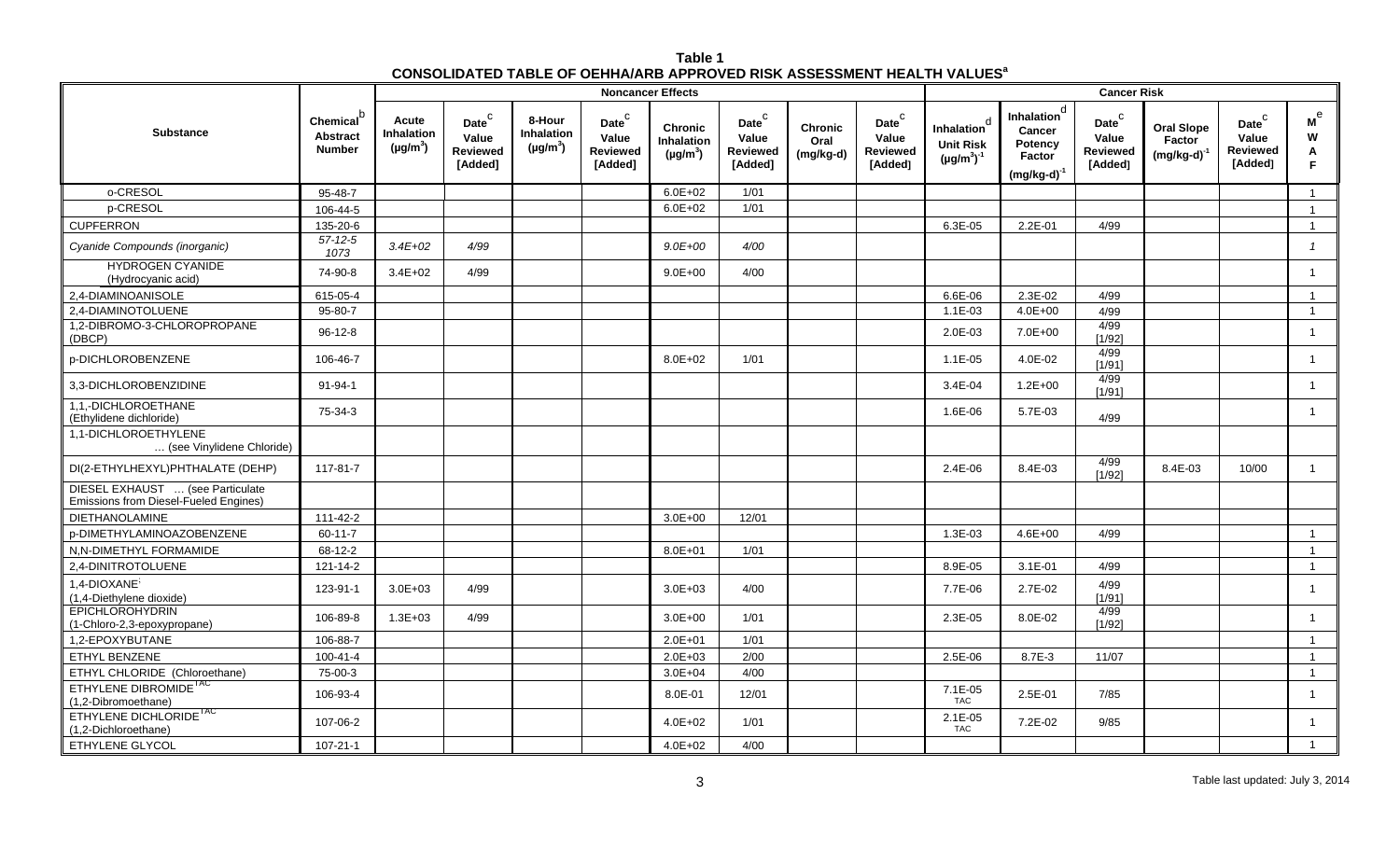| Table 1                                                                                   |
|-------------------------------------------------------------------------------------------|
| <b>CONSOLIDATED TABLE OF OEHHA/ARB APPROVED RISK ASSESSMENT HEALTH VALUES<sup>8</sup></b> |

|                                                                           |                                                           |                                                   |                                                        |                                                     |                                                          | <b>Noncancer Effects</b>                             |                                                            |                                     |                                                          | <b>Cancer Risk</b>                                                          |                                                                                   |                                                            |                                                 |                                                                   |                                     |  |
|---------------------------------------------------------------------------|-----------------------------------------------------------|---------------------------------------------------|--------------------------------------------------------|-----------------------------------------------------|----------------------------------------------------------|------------------------------------------------------|------------------------------------------------------------|-------------------------------------|----------------------------------------------------------|-----------------------------------------------------------------------------|-----------------------------------------------------------------------------------|------------------------------------------------------------|-------------------------------------------------|-------------------------------------------------------------------|-------------------------------------|--|
| <b>Substance</b>                                                          | Chemical <sup>b</sup><br><b>Abstract</b><br><b>Number</b> | Acute<br>Inhalation<br>( $\mu$ g/m <sup>3</sup> ) | Date $^{\rm C}$<br>Value<br><b>Reviewed</b><br>[Added] | 8-Hour<br><b>Inhalation</b><br>(µg/m <sup>3</sup> ) | Date <sup>C</sup><br>Value<br><b>Reviewed</b><br>[Added] | <b>Chronic</b><br><b>Inhalation</b><br>$(\mu g/m^3)$ | $\mathsf{Date}^\mathsf{C}$<br>Value<br>Reviewed<br>[Added] | <b>Chronic</b><br>Oral<br>(mg/kg-d) | Date <sup>C</sup><br>Value<br><b>Reviewed</b><br>[Added] | <sub>c</sub><br><b>Inhalation</b><br><b>Unit Risk</b><br>$(\mu g/m^3)^{-1}$ | <b>Inhalation</b> <sup>d</sup><br>Cancer<br>Potency<br>Factor<br>$(mg/kg-d)^{-1}$ | $\mathsf{Date}^\mathsf{C}$<br>Value<br>Reviewed<br>[Added] | <b>Oral Slope</b><br>Factor<br>$(mg/kg-d)^{-1}$ | $\mathsf{Date}^\mathsf{C}$<br>Value<br><b>Reviewed</b><br>[Added] | $\mathsf{M}^\Theta$<br>W<br>A<br>F. |  |
| o-CRESOL                                                                  | $95 - 48 - 7$                                             |                                                   |                                                        |                                                     |                                                          | $6.0E + 02$                                          | 1/01                                                       |                                     |                                                          |                                                                             |                                                                                   |                                                            |                                                 |                                                                   | $\mathbf{1}$                        |  |
| p-CRESOL                                                                  | 106-44-5                                                  |                                                   |                                                        |                                                     |                                                          | $6.0E + 02$                                          | 1/01                                                       |                                     |                                                          |                                                                             |                                                                                   |                                                            |                                                 |                                                                   | $\overline{1}$                      |  |
| <b>CUPFERRON</b>                                                          | 135-20-6                                                  |                                                   |                                                        |                                                     |                                                          |                                                      |                                                            |                                     |                                                          | 6.3E-05                                                                     | $2.2E - 01$                                                                       | 4/99                                                       |                                                 |                                                                   | $\mathbf{1}$                        |  |
| Cyanide Compounds (inorganic)                                             | $57 - 12 - 5$<br>1073                                     | $3.4E + 02$                                       | 4/99                                                   |                                                     |                                                          | $9.0E + 00$                                          | 4/00                                                       |                                     |                                                          |                                                                             |                                                                                   |                                                            |                                                 |                                                                   | $\overline{1}$                      |  |
| <b>HYDROGEN CYANIDE</b><br>(Hydrocyanic acid)                             | 74-90-8                                                   | $3.4E + 02$                                       | 4/99                                                   |                                                     |                                                          | $9.0E + 00$                                          | 4/00                                                       |                                     |                                                          |                                                                             |                                                                                   |                                                            |                                                 |                                                                   | $\overline{1}$                      |  |
| 2,4-DIAMINOANISOLE                                                        | 615-05-4                                                  |                                                   |                                                        |                                                     |                                                          |                                                      |                                                            |                                     |                                                          | 6.6E-06                                                                     | 2.3E-02                                                                           | 4/99                                                       |                                                 |                                                                   | $\overline{1}$                      |  |
| 2.4-DIAMINOTOLUENE                                                        | 95-80-7                                                   |                                                   |                                                        |                                                     |                                                          |                                                      |                                                            |                                     |                                                          | $1.1E-03$                                                                   | $4.0E + 00$                                                                       | 4/99                                                       |                                                 |                                                                   | $\mathbf{1}$                        |  |
| 1,2-DIBROMO-3-CHLOROPROPANE<br>(DBCP)                                     | $96 - 12 - 8$                                             |                                                   |                                                        |                                                     |                                                          |                                                      |                                                            |                                     |                                                          | 2.0E-03                                                                     | $7.0E + 00$                                                                       | 4/99<br>[1/92]                                             |                                                 |                                                                   | $\overline{1}$                      |  |
| <b>p-DICHLOROBENZENE</b>                                                  | 106-46-7                                                  |                                                   |                                                        |                                                     |                                                          | $8.0E + 02$                                          | 1/01                                                       |                                     |                                                          | $1.1E-05$                                                                   | 4.0E-02                                                                           | 4/99<br>[1/91]                                             |                                                 |                                                                   | $\overline{1}$                      |  |
| 3,3-DICHLOROBENZIDINE                                                     | 91-94-1                                                   |                                                   |                                                        |                                                     |                                                          |                                                      |                                                            |                                     |                                                          | $3.4E - 04$                                                                 | $1.2E + 00$                                                                       | 4/99<br>[1/91]                                             |                                                 |                                                                   | $\mathbf{1}$                        |  |
| 1.1.-DICHLOROETHANE<br>(Ethylidene dichloride)                            | 75-34-3                                                   |                                                   |                                                        |                                                     |                                                          |                                                      |                                                            |                                     |                                                          | 1.6E-06                                                                     | 5.7E-03                                                                           | 4/99                                                       |                                                 |                                                                   | $\mathbf{1}$                        |  |
| 1.1-DICHLOROETHYLENE<br>(see Vinylidene Chloride)                         |                                                           |                                                   |                                                        |                                                     |                                                          |                                                      |                                                            |                                     |                                                          |                                                                             |                                                                                   |                                                            |                                                 |                                                                   |                                     |  |
| DI(2-ETHYLHEXYL)PHTHALATE (DEHP)                                          | 117-81-7                                                  |                                                   |                                                        |                                                     |                                                          |                                                      |                                                            |                                     |                                                          | $2.4E-06$                                                                   | 8.4E-03                                                                           | 4/99<br>$[1/92]$                                           | 8.4E-03                                         | 10/00                                                             | $\mathbf{1}$                        |  |
| DIESEL EXHAUST  (see Particulate<br>Emissions from Diesel-Fueled Engines) |                                                           |                                                   |                                                        |                                                     |                                                          |                                                      |                                                            |                                     |                                                          |                                                                             |                                                                                   |                                                            |                                                 |                                                                   |                                     |  |
| <b>DIETHANOLAMINE</b>                                                     | $111 - 42 - 2$                                            |                                                   |                                                        |                                                     |                                                          | $3.0E + 00$                                          | 12/01                                                      |                                     |                                                          |                                                                             |                                                                                   |                                                            |                                                 |                                                                   |                                     |  |
| <b>p-DIMETHYLAMINOAZOBENZENE</b>                                          | $60 - 11 - 7$                                             |                                                   |                                                        |                                                     |                                                          |                                                      |                                                            |                                     |                                                          | 1.3E-03                                                                     | $4.6E + 00$                                                                       | 4/99                                                       |                                                 |                                                                   | $\overline{1}$                      |  |
| N,N-DIMETHYL FORMAMIDE                                                    | 68-12-2                                                   |                                                   |                                                        |                                                     |                                                          | 8.0E+01                                              | $1/01$                                                     |                                     |                                                          |                                                                             |                                                                                   |                                                            |                                                 |                                                                   | $\mathbf{1}$                        |  |
| 2,4-DINITROTOLUENE                                                        | 121-14-2                                                  |                                                   |                                                        |                                                     |                                                          |                                                      |                                                            |                                     |                                                          | 8.9E-05                                                                     | $3.1E - 01$                                                                       | 4/99                                                       |                                                 |                                                                   | $\mathbf{1}$                        |  |
| 1,4-DIOXANE <sup>3</sup><br>(1,4-Diethylene dioxide)                      | 123-91-1                                                  | $3.0E + 03$                                       | 4/99                                                   |                                                     |                                                          | $3.0E + 03$                                          | 4/00                                                       |                                     |                                                          | 7.7E-06                                                                     | $2.7E-02$                                                                         | 4/99<br>[1/91]                                             |                                                 |                                                                   | $\overline{1}$                      |  |
| <b>EPICHLOROHYDRIN</b><br>(1-Chloro-2,3-epoxypropane)                     | 106-89-8                                                  | $1.3E + 03$                                       | 4/99                                                   |                                                     |                                                          | $3.0E + 00$                                          | 1/01                                                       |                                     |                                                          | 2.3E-05                                                                     | 8.0E-02                                                                           | 4/99<br>[1/92]                                             |                                                 |                                                                   | $\mathbf{1}$                        |  |
| 1,2-EPOXYBUTANE                                                           | 106-88-7                                                  |                                                   |                                                        |                                                     |                                                          | $2.0E + 01$                                          | $1/01$                                                     |                                     |                                                          |                                                                             |                                                                                   |                                                            |                                                 |                                                                   | $\overline{1}$                      |  |
| <b>ETHYL BENZENE</b>                                                      | $100 - 41 - 4$                                            |                                                   |                                                        |                                                     |                                                          | $2.0E + 03$                                          | 2/00                                                       |                                     |                                                          | 2.5E-06                                                                     | 8.7E-3                                                                            | 11/07                                                      |                                                 |                                                                   | $\overline{1}$                      |  |
| ETHYL CHLORIDE (Chloroethane)                                             | 75-00-3                                                   |                                                   |                                                        |                                                     |                                                          | $3.0E + 04$                                          | 4/00                                                       |                                     |                                                          |                                                                             |                                                                                   |                                                            |                                                 |                                                                   | $\overline{1}$                      |  |
| ETHYLENE DIBROMIDE <sup>1AC</sup><br>(1,2-Dibromoethane)                  | 106-93-4                                                  |                                                   |                                                        |                                                     |                                                          | 8.0E-01                                              | 12/01                                                      |                                     |                                                          | 7.1E-05<br><b>TAC</b>                                                       | 2.5E-01                                                                           | 7/85                                                       |                                                 |                                                                   | $\overline{1}$                      |  |
| ETHYLENE DICHLORIDE <sup>1AC</sup><br>(1,2-Dichloroethane)                | 107-06-2                                                  |                                                   |                                                        |                                                     |                                                          | $4.0E + 02$                                          | 1/01                                                       |                                     |                                                          | $2.1E-05$<br><b>TAC</b>                                                     | 7.2E-02                                                                           | 9/85                                                       |                                                 |                                                                   | $\mathbf{1}$                        |  |
| ETHYLENE GLYCOL                                                           | $107 - 21 - 1$                                            |                                                   |                                                        |                                                     |                                                          | $4.0E + 02$                                          | 4/00                                                       |                                     |                                                          |                                                                             |                                                                                   |                                                            |                                                 |                                                                   | $\mathbf{1}$                        |  |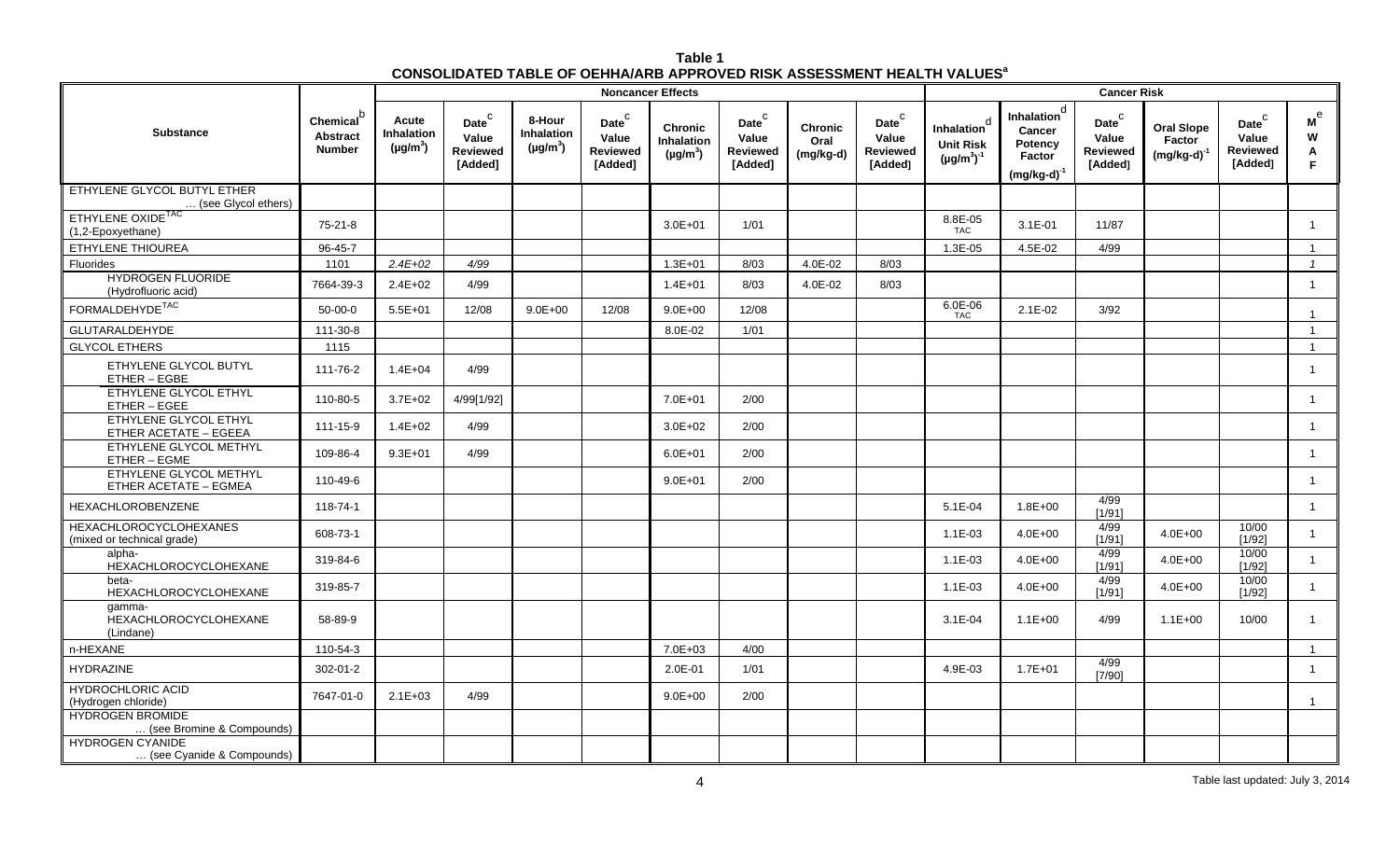| Table 1                                                                                   |
|-------------------------------------------------------------------------------------------|
| <b>CONSOLIDATED TABLE OF OEHHA/ARB APPROVED RISK ASSESSMENT HEALTH VALUES<sup>8</sup></b> |

|                                                             |                                                     |                                      |                                                        |                                              |                                                                   | <b>Noncancer Effects</b>                      |                                                                    |                                     |                                                  |                                                           |                                                                                   | <b>Cancer Risk</b>                                         |                                                 |                                                                   |                        |
|-------------------------------------------------------------|-----------------------------------------------------|--------------------------------------|--------------------------------------------------------|----------------------------------------------|-------------------------------------------------------------------|-----------------------------------------------|--------------------------------------------------------------------|-------------------------------------|--------------------------------------------------|-----------------------------------------------------------|-----------------------------------------------------------------------------------|------------------------------------------------------------|-------------------------------------------------|-------------------------------------------------------------------|------------------------|
| <b>Substance</b>                                            | <b>Chemical</b><br><b>Abstract</b><br><b>Number</b> | Acute<br>Inhalation<br>$(\mu g/m^3)$ | Date $^{\rm C}$<br>Value<br><b>Reviewed</b><br>[Added] | 8-Hour<br><b>Inhalation</b><br>$(\mu g/m^3)$ | $\mathsf{Date}^\mathsf{C}$<br>Value<br><b>Reviewed</b><br>[Added] | <b>Chronic</b><br>Inhalation<br>$(\mu g/m^3)$ | $\mathsf{Date}^\complement$<br>Value<br><b>Reviewed</b><br>[Added] | <b>Chronic</b><br>Oral<br>(mg/kg-d) | Date $^C$<br>Value<br><b>Reviewed</b><br>[Added] | d<br>Inhalation<br><b>Unit Risk</b><br>$(\mu g/m^3)^{-1}$ | <b>Inhalation</b> <sup>d</sup><br>Cancer<br>Potency<br>Factor<br>$(mg/kg-d)^{-1}$ | $\mathsf{Date}^\mathsf{C}$<br>Value<br>Reviewed<br>[Added] | <b>Oral Slope</b><br>Factor<br>$(mg/kg-d)^{-1}$ | $\mathsf{Date}^\mathsf{C}$<br>Value<br><b>Reviewed</b><br>[Added] | м $^{\rm e}$<br>W<br>A |
| ETHYLENE GLYCOL BUTYL ETHER<br>(see Glycol ethers)          |                                                     |                                      |                                                        |                                              |                                                                   |                                               |                                                                    |                                     |                                                  |                                                           |                                                                                   |                                                            |                                                 |                                                                   |                        |
| ETHYLENE OXIDE <sup>1AC</sup><br>(1,2-Epoxyethane)          | $75-21-8$                                           |                                      |                                                        |                                              |                                                                   | $3.0E + 01$                                   | 1/01                                                               |                                     |                                                  | 8.8E-05<br><b>TAC</b>                                     | $3.1E - 01$                                                                       | 11/87                                                      |                                                 |                                                                   | $\overline{1}$         |
| ETHYLENE THIOUREA                                           | 96-45-7                                             |                                      |                                                        |                                              |                                                                   |                                               |                                                                    |                                     |                                                  | 1.3E-05                                                   | 4.5E-02                                                                           | 4/99                                                       |                                                 |                                                                   |                        |
| Fluorides                                                   | 1101                                                | $2.4E + 02$                          | 4/99                                                   |                                              |                                                                   | $1.3E + 01$                                   | 8/03                                                               | 4.0E-02                             | 8/03                                             |                                                           |                                                                                   |                                                            |                                                 |                                                                   | $\overline{1}$         |
| <b>HYDROGEN FLUORIDE</b><br>(Hydrofluoric acid)             | 7664-39-3                                           | $2.4E + 02$                          | 4/99                                                   |                                              |                                                                   | $1.4E + 01$                                   | 8/03                                                               | 4.0E-02                             | 8/03                                             |                                                           |                                                                                   |                                                            |                                                 |                                                                   | -1                     |
| FORMALDEHYDE <sup>TAC</sup>                                 | $50 - 00 - 0$                                       | $5.5E + 01$                          | 12/08                                                  | $9.0E + 00$                                  | 12/08                                                             | $9.0E + 00$                                   | 12/08                                                              |                                     |                                                  | $6.0E - 06$<br><b>TAC</b>                                 | $2.1E-02$                                                                         | 3/92                                                       |                                                 |                                                                   | $\overline{1}$         |
| GLUTARALDEHYDE                                              | 111-30-8                                            |                                      |                                                        |                                              |                                                                   | 8.0E-02                                       | 1/01                                                               |                                     |                                                  |                                                           |                                                                                   |                                                            |                                                 |                                                                   | $\overline{1}$         |
| <b>GLYCOL ETHERS</b>                                        | 1115                                                |                                      |                                                        |                                              |                                                                   |                                               |                                                                    |                                     |                                                  |                                                           |                                                                                   |                                                            |                                                 |                                                                   | $\overline{1}$         |
| ETHYLENE GLYCOL BUTYL<br>ETHER - EGBE                       | 111-76-2                                            | $1.4E + 04$                          | 4/99                                                   |                                              |                                                                   |                                               |                                                                    |                                     |                                                  |                                                           |                                                                                   |                                                            |                                                 |                                                                   | $\overline{1}$         |
| ETHYLENE GLYCOL ETHYL<br>ETHER - EGEE                       | 110-80-5                                            | $3.7E + 02$                          | 4/99[1/92]                                             |                                              |                                                                   | $7.0E + 01$                                   | 2/00                                                               |                                     |                                                  |                                                           |                                                                                   |                                                            |                                                 |                                                                   | $\overline{1}$         |
| ETHYLENE GLYCOL ETHYL<br>ETHER ACETATE - EGEEA              | 111-15-9                                            | $1.4E + 02$                          | 4/99                                                   |                                              |                                                                   | $3.0E + 02$                                   | 2/00                                                               |                                     |                                                  |                                                           |                                                                                   |                                                            |                                                 |                                                                   | $\overline{1}$         |
| ETHYLENE GLYCOL METHYL<br>ETHER - EGME                      | 109-86-4                                            | $9.3E + 01$                          | 4/99                                                   |                                              |                                                                   | $6.0E + 01$                                   | 2/00                                                               |                                     |                                                  |                                                           |                                                                                   |                                                            |                                                 |                                                                   | $\overline{1}$         |
| ETHYLENE GLYCOL METHYL<br><b>ETHER ACETATE - EGMEA</b>      | 110-49-6                                            |                                      |                                                        |                                              |                                                                   | $9.0E + 01$                                   | 2/00                                                               |                                     |                                                  |                                                           |                                                                                   |                                                            |                                                 |                                                                   | $\overline{1}$         |
| <b>HEXACHLOROBENZENE</b>                                    | 118-74-1                                            |                                      |                                                        |                                              |                                                                   |                                               |                                                                    |                                     |                                                  | $5.1E-04$                                                 | $1.8E + 00$                                                                       | 4/99<br>[1/91]                                             |                                                 |                                                                   | $\mathbf{1}$           |
| <b>HEXACHLOROCYCLOHEXANES</b><br>(mixed or technical grade) | 608-73-1                                            |                                      |                                                        |                                              |                                                                   |                                               |                                                                    |                                     |                                                  | $1.1E-03$                                                 | $4.0E + 00$                                                                       | 4/99<br>[1/91]                                             | $4.0E + 00$                                     | 10/00<br>1/921                                                    | $\overline{1}$         |
| alpha-<br><b>HEXACHLOROCYCLOHEXANE</b>                      | 319-84-6                                            |                                      |                                                        |                                              |                                                                   |                                               |                                                                    |                                     |                                                  | $1.1E-03$                                                 | $4.0E + 00$                                                                       | 4/99<br>[1/91]                                             | $4.0E + 00$                                     | 10/00<br>[1/92]                                                   | $\overline{1}$         |
| beta-<br>HEXACHLOROCYCLOHEXANE                              | 319-85-7                                            |                                      |                                                        |                                              |                                                                   |                                               |                                                                    |                                     |                                                  | $1.1E-03$                                                 | $4.0E + 00$                                                                       | 4/99<br>[1/91]                                             | $4.0E + 00$                                     | 10/00<br>[1/92]                                                   | $\mathbf{1}$           |
| qamma-<br>HEXACHLOROCYCLOHEXANE<br>(Lindane)                | 58-89-9                                             |                                      |                                                        |                                              |                                                                   |                                               |                                                                    |                                     |                                                  | $3.1E - 04$                                               | $1.1E + 00$                                                                       | 4/99                                                       | $1.1E + 00$                                     | 10/00                                                             | $\overline{1}$         |
| n-HEXANE                                                    | 110-54-3                                            |                                      |                                                        |                                              |                                                                   | $7.0E + 03$                                   | 4/00                                                               |                                     |                                                  |                                                           |                                                                                   |                                                            |                                                 |                                                                   | $\overline{1}$         |
| <b>HYDRAZINE</b>                                            | $302 - 01 - 2$                                      |                                      |                                                        |                                              |                                                                   | 2.0E-01                                       | 1/01                                                               |                                     |                                                  | 4.9E-03                                                   | $1.7E + 01$                                                                       | 4/99<br>[7/90]                                             |                                                 |                                                                   | $\overline{1}$         |
| <b>HYDROCHLORIC ACID</b><br>(Hydrogen chloride)             | 7647-01-0                                           | $2.1E + 03$                          | 4/99                                                   |                                              |                                                                   | $9.0E + 00$                                   | 2/00                                                               |                                     |                                                  |                                                           |                                                                                   |                                                            |                                                 |                                                                   | $\overline{1}$         |
| <b>HYDROGEN BROMIDE</b><br>(see Bromine & Compounds)        |                                                     |                                      |                                                        |                                              |                                                                   |                                               |                                                                    |                                     |                                                  |                                                           |                                                                                   |                                                            |                                                 |                                                                   |                        |
| <b>HYDROGEN CYANIDE</b><br>(see Cyanide & Compounds)        |                                                     |                                      |                                                        |                                              |                                                                   |                                               |                                                                    |                                     |                                                  |                                                           |                                                                                   |                                                            |                                                 |                                                                   |                        |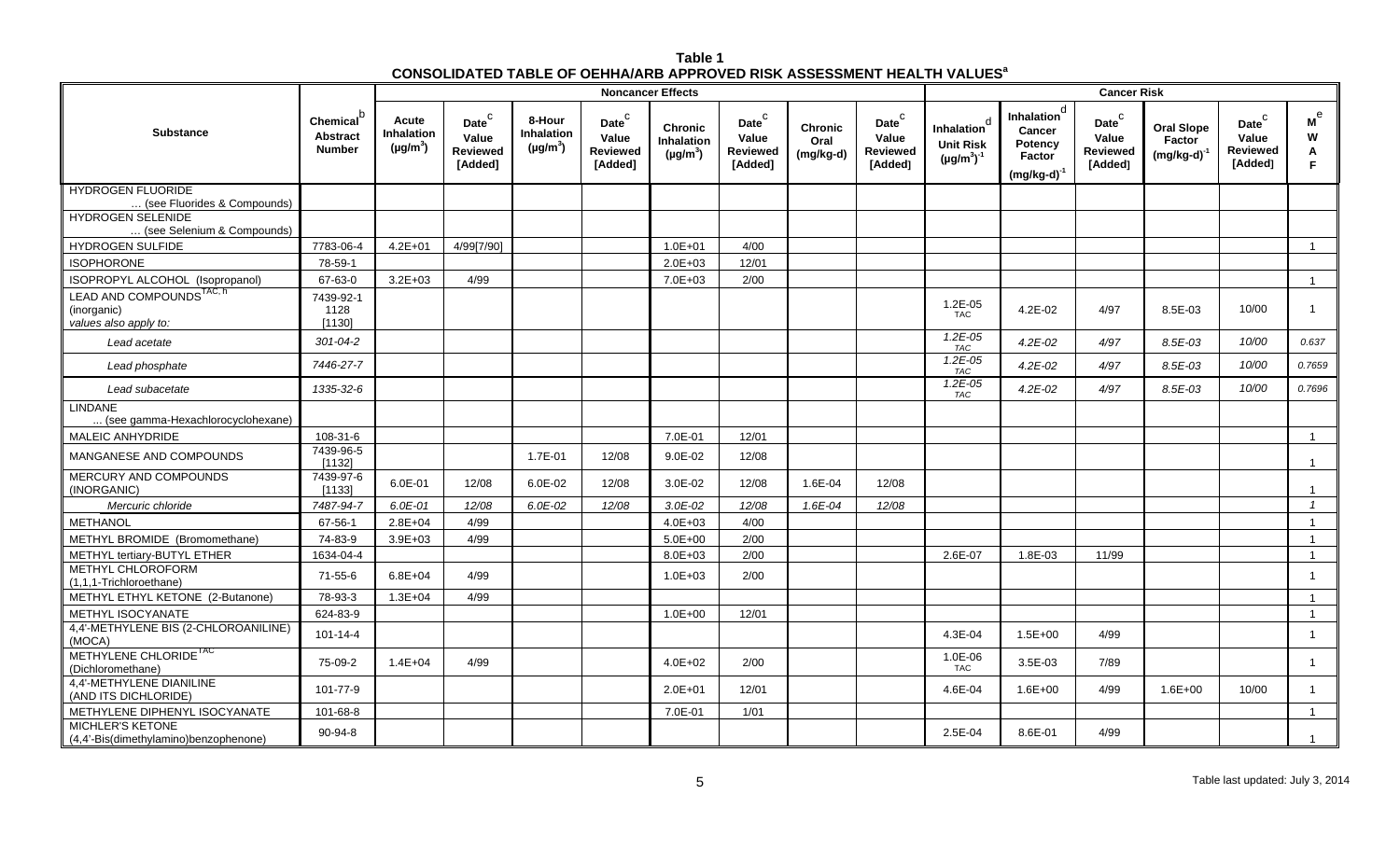| Table 1                                                                                   |  |
|-------------------------------------------------------------------------------------------|--|
| <b>CONSOLIDATED TABLE OF OEHHA/ARB APPROVED RISK ASSESSMENT HEALTH VALUES<sup>8</sup></b> |  |

|                                                                              |                                                           |                                      |                                                          |                                       |                                                                    | <b>Noncancer Effects</b>                             | <b>Cancer Risk</b>                                                |                                     |                                                   |                                                           |                                                                                   |                                                             |                                                 |                                                   |                              |
|------------------------------------------------------------------------------|-----------------------------------------------------------|--------------------------------------|----------------------------------------------------------|---------------------------------------|--------------------------------------------------------------------|------------------------------------------------------|-------------------------------------------------------------------|-------------------------------------|---------------------------------------------------|-----------------------------------------------------------|-----------------------------------------------------------------------------------|-------------------------------------------------------------|-------------------------------------------------|---------------------------------------------------|------------------------------|
| <b>Substance</b>                                                             | Chemical <sup>c</sup><br><b>Abstract</b><br><b>Number</b> | Acute<br>Inhalation<br>$(\mu g/m^3)$ | Date <sup>C</sup><br>Value<br><b>Reviewed</b><br>[Added] | 8-Hour<br>Inhalation<br>$(\mu g/m^3)$ | $\mathsf{Date}^\complement$<br>Value<br><b>Reviewed</b><br>[Added] | <b>Chronic</b><br><b>Inhalation</b><br>$(\mu g/m^3)$ | $\mathsf{Date}^\mathsf{C}$<br>Value<br><b>Reviewed</b><br>[Added] | <b>Chronic</b><br>Oral<br>(mg/kg-d) | Date <sup>C</sup><br>Value<br>Reviewed<br>[Added] | d<br>Inhalation<br><b>Unit Risk</b><br>$(\mu g/m^3)^{-1}$ | <b>Inhalation</b> <sup>d</sup><br>Cancer<br>Potency<br>Factor<br>$(mg/kg-d)^{-1}$ | $\mathsf{Date}^\complement$<br>Value<br>Reviewed<br>[Added] | <b>Oral Slope</b><br>Factor<br>$(mg/kg-d)^{-1}$ | Date <sup>C</sup><br>Value<br>Reviewed<br>[Added] | м $^{\rm e}$<br>W<br>Α<br>F. |
| <b>HYDROGEN FLUORIDE</b><br>(see Fluorides & Compounds)                      |                                                           |                                      |                                                          |                                       |                                                                    |                                                      |                                                                   |                                     |                                                   |                                                           |                                                                                   |                                                             |                                                 |                                                   |                              |
| <b>HYDROGEN SELENIDE</b><br>(see Selenium & Compounds)                       |                                                           |                                      |                                                          |                                       |                                                                    |                                                      |                                                                   |                                     |                                                   |                                                           |                                                                                   |                                                             |                                                 |                                                   |                              |
| <b>HYDROGEN SULFIDE</b>                                                      | 7783-06-4                                                 | $4.2E + 01$                          | 4/99[7/90]                                               |                                       |                                                                    | $1.0E + 01$                                          | 4/00                                                              |                                     |                                                   |                                                           |                                                                                   |                                                             |                                                 |                                                   | $\mathbf{1}$                 |
| <b>ISOPHORONE</b>                                                            | 78-59-1                                                   |                                      |                                                          |                                       |                                                                    | $2.0E + 03$                                          | 12/01                                                             |                                     |                                                   |                                                           |                                                                                   |                                                             |                                                 |                                                   |                              |
| ISOPROPYL ALCOHOL (Isopropanol)                                              | 67-63-0                                                   | $3.2E + 03$                          | 4/99                                                     |                                       |                                                                    | 7.0E+03                                              | 2/00                                                              |                                     |                                                   |                                                           |                                                                                   |                                                             |                                                 |                                                   | $\mathbf{1}$                 |
| LEAD AND COMPOUNDS <sup>TAC, h</sup><br>(inorganic)<br>values also apply to: | 7439-92-1<br>1128<br>[1130]                               |                                      |                                                          |                                       |                                                                    |                                                      |                                                                   |                                     |                                                   | 1.2E-05<br><b>TAC</b>                                     | 4.2E-02                                                                           | 4/97                                                        | 8.5E-03                                         | 10/00                                             | $\mathbf{1}$                 |
| Lead acetate                                                                 | $301 - 04 - 2$                                            |                                      |                                                          |                                       |                                                                    |                                                      |                                                                   |                                     |                                                   | $1.2E - 05$<br><b>TAC</b>                                 | $4.2E - 02$                                                                       | 4/97                                                        | 8.5E-03                                         | 10/00                                             | 0.637                        |
| Lead phosphate                                                               | 7446-27-7                                                 |                                      |                                                          |                                       |                                                                    |                                                      |                                                                   |                                     |                                                   | $1.2E - 0.5$<br>TAC                                       | $4.2E - 02$                                                                       | 4/97                                                        | 8.5E-03                                         | 10/00                                             | 0.7659                       |
| Lead subacetate                                                              | 1335-32-6                                                 |                                      |                                                          |                                       |                                                                    |                                                      |                                                                   |                                     |                                                   | $1.2E - 0.5$<br><b>TAC</b>                                | $4.2E - 02$                                                                       | 4/97                                                        | 8.5E-03                                         | 10/00                                             | 0.7696                       |
| <b>LINDANE</b><br>(see gamma-Hexachlorocyclohexane)                          |                                                           |                                      |                                                          |                                       |                                                                    |                                                      |                                                                   |                                     |                                                   |                                                           |                                                                                   |                                                             |                                                 |                                                   |                              |
| MALEIC ANHYDRIDE                                                             | 108-31-6                                                  |                                      |                                                          |                                       |                                                                    | 7.0E-01                                              | 12/01                                                             |                                     |                                                   |                                                           |                                                                                   |                                                             |                                                 |                                                   | $\overline{1}$               |
| MANGANESE AND COMPOUNDS                                                      | 7439-96-5<br>[1132]                                       |                                      |                                                          | 1.7E-01                               | 12/08                                                              | $9.0E-02$                                            | 12/08                                                             |                                     |                                                   |                                                           |                                                                                   |                                                             |                                                 |                                                   |                              |
| MERCURY AND COMPOUNDS<br>(INORGANIC)                                         | 7439-97-6<br>[1133]                                       | 6.0E-01                              | 12/08                                                    | 6.0E-02                               | 12/08                                                              | 3.0E-02                                              | 12/08                                                             | 1.6E-04                             | 12/08                                             |                                                           |                                                                                   |                                                             |                                                 |                                                   |                              |
| Mercuric chloride                                                            | 7487-94-7                                                 | 6.0E-01                              | 12/08                                                    | $6.0E-02$                             | 12/08                                                              | $3.0E - 02$                                          | 12/08                                                             | 1.6E-04                             | 12/08                                             |                                                           |                                                                                   |                                                             |                                                 |                                                   | $\overline{1}$               |
| METHANOL                                                                     | 67-56-1                                                   | $2.8E + 04$                          | 4/99                                                     |                                       |                                                                    | $4.0E + 03$                                          | 4/00                                                              |                                     |                                                   |                                                           |                                                                                   |                                                             |                                                 |                                                   | $\mathbf{1}$                 |
| METHYL BROMIDE (Bromomethane)                                                | 74-83-9                                                   | $3.9E + 03$                          | 4/99                                                     |                                       |                                                                    | $5.0E + 00$                                          | 2/00                                                              |                                     |                                                   |                                                           |                                                                                   |                                                             |                                                 |                                                   | $\overline{1}$               |
| METHYL tertiary-BUTYL ETHER                                                  | 1634-04-4                                                 |                                      |                                                          |                                       |                                                                    | 8.0E+03                                              | 2/00                                                              |                                     |                                                   | 2.6E-07                                                   | 1.8E-03                                                                           | 11/99                                                       |                                                 |                                                   | $\mathbf{1}$                 |
| METHYL CHLOROFORM<br>(1,1,1-Trichloroethane)                                 | $71 - 55 - 6$                                             | $6.8E + 04$                          | 4/99                                                     |                                       |                                                                    | $1.0E + 03$                                          | 2/00                                                              |                                     |                                                   |                                                           |                                                                                   |                                                             |                                                 |                                                   | $\mathbf{1}$                 |
| METHYL ETHYL KETONE (2-Butanone)                                             | 78-93-3                                                   | $1.3E + 04$                          | 4/99                                                     |                                       |                                                                    |                                                      |                                                                   |                                     |                                                   |                                                           |                                                                                   |                                                             |                                                 |                                                   | $\mathbf{1}$                 |
| METHYL ISOCYANATE                                                            | 624-83-9                                                  |                                      |                                                          |                                       |                                                                    | $1.0E + 00$                                          | 12/01                                                             |                                     |                                                   |                                                           |                                                                                   |                                                             |                                                 |                                                   | $\overline{\mathbf{1}}$      |
| 4,4'-METHYLENE BIS (2-CHLOROANILINE)<br>(MOCA)                               | $101 - 14 - 4$                                            |                                      |                                                          |                                       |                                                                    |                                                      |                                                                   |                                     |                                                   | 4.3E-04                                                   | $1.5E + 00$                                                                       | 4/99                                                        |                                                 |                                                   | $\overline{1}$               |
| METHYLENE CHLORIDE <sup>1AC</sup><br>(Dichloromethane)                       | 75-09-2                                                   | $1.4E + 04$                          | 4/99                                                     |                                       |                                                                    | $4.0E + 02$                                          | 2/00                                                              |                                     |                                                   | 1.0E-06<br><b>TAC</b>                                     | 3.5E-03                                                                           | 7/89                                                        |                                                 |                                                   | $\mathbf{1}$                 |
| 4.4'-METHYLENE DIANILINE<br>(AND ITS DICHLORIDE)                             | 101-77-9                                                  |                                      |                                                          |                                       |                                                                    | $2.0E + 01$                                          | 12/01                                                             |                                     |                                                   | 4.6E-04                                                   | $1.6E + 00$                                                                       | 4/99                                                        | $1.6E + 00$                                     | 10/00                                             | $\mathbf{1}$                 |
| METHYLENE DIPHENYL ISOCYANATE                                                | 101-68-8                                                  |                                      |                                                          |                                       |                                                                    | 7.0E-01                                              | 1/01                                                              |                                     |                                                   |                                                           |                                                                                   |                                                             |                                                 |                                                   | $\mathbf{1}$                 |
| <b>MICHLER'S KETONE</b><br>(4,4'-Bis(dimethylamino)benzophenone)             | 90-94-8                                                   |                                      |                                                          |                                       |                                                                    |                                                      |                                                                   |                                     |                                                   | 2.5E-04                                                   | 8.6E-01                                                                           | 4/99                                                        |                                                 |                                                   | $\mathbf{1}$                 |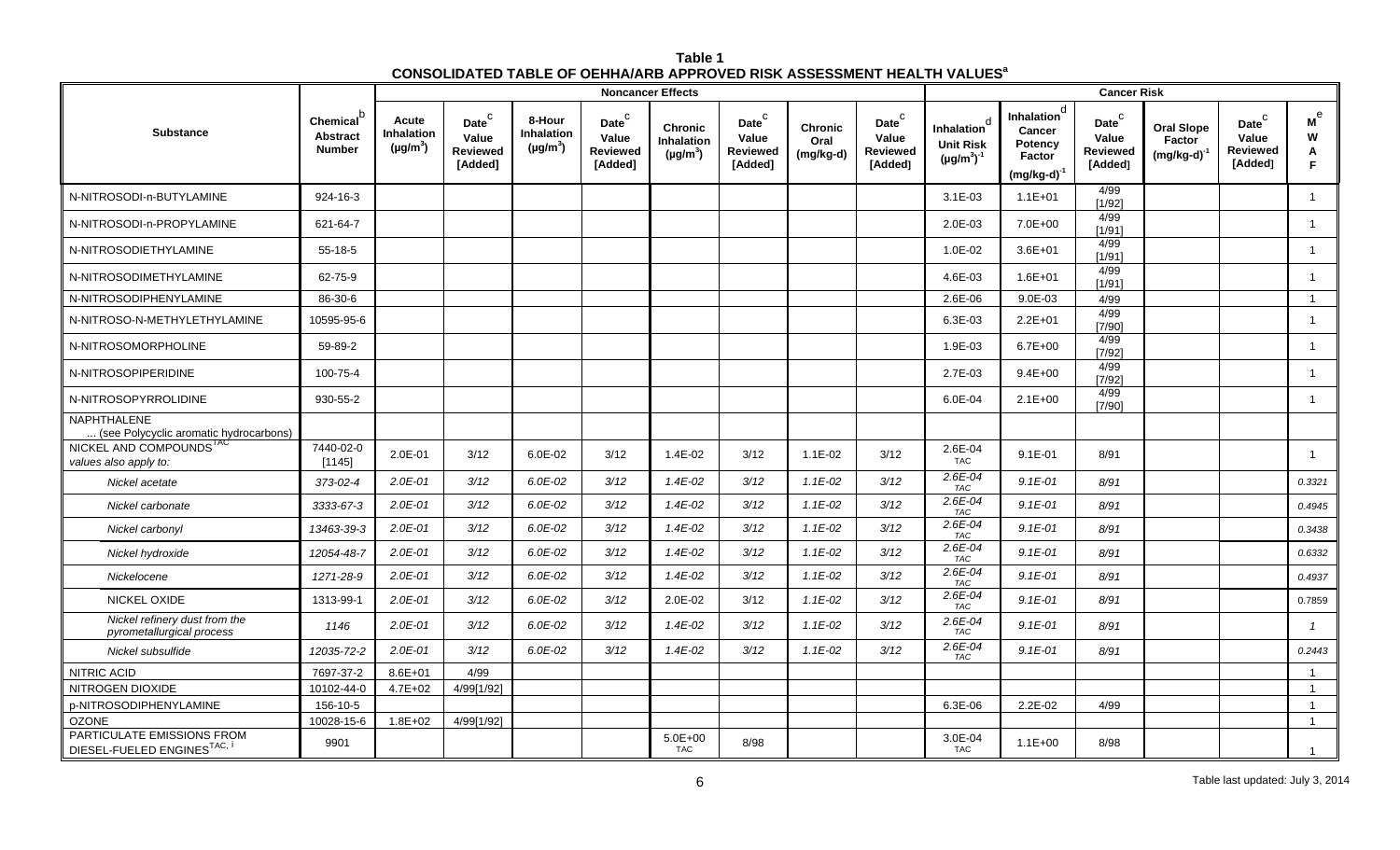| Table 1                                                                                   |  |
|-------------------------------------------------------------------------------------------|--|
| <b>CONSOLIDATED TABLE OF OEHHA/ARB APPROVED RISK ASSESSMENT HEALTH VALUES<sup>8</sup></b> |  |

|                                                              |                                                           | <b>Noncancer Effects</b>                    |                                                        |                                       |                                                                    |                                               |                                                                   |                                     |                                                          |                                                      |                                                                                   |                                                                    | <b>Cancer Risk</b>                              |                                                   |                                        |  |  |  |
|--------------------------------------------------------------|-----------------------------------------------------------|---------------------------------------------|--------------------------------------------------------|---------------------------------------|--------------------------------------------------------------------|-----------------------------------------------|-------------------------------------------------------------------|-------------------------------------|----------------------------------------------------------|------------------------------------------------------|-----------------------------------------------------------------------------------|--------------------------------------------------------------------|-------------------------------------------------|---------------------------------------------------|----------------------------------------|--|--|--|
| <b>Substance</b>                                             | Chemical <sup>b</sup><br><b>Abstract</b><br><b>Number</b> | Acute<br><b>Inhalation</b><br>$(\mu g/m^3)$ | Date $^{\rm C}$<br>Value<br><b>Reviewed</b><br>[Added] | 8-Hour<br>Inhalation<br>$(\mu g/m^3)$ | $\mathsf{Date}^\complement$<br>Value<br><b>Reviewed</b><br>[Added] | <b>Chronic</b><br>Inhalation<br>$(\mu g/m^3)$ | $\mathsf{Date}^\mathsf{C}$<br>Value<br><b>Reviewed</b><br>[Added] | <b>Chronic</b><br>Oral<br>(mg/kg-d) | Date <sup>C</sup><br>Value<br><b>Reviewed</b><br>[Added] | Inhalation<br><b>Unit Risk</b><br>$(\mu g/m^3)^{-1}$ | Inhalation <sup>d</sup><br>Cancer<br>Potency<br><b>Factor</b><br>$(mg/kg-d)^{-1}$ | $\mathsf{Date}^\complement$<br>Value<br><b>Reviewed</b><br>[Added] | <b>Oral Slope</b><br>Factor<br>$(mg/kg-d)^{-1}$ | Date <sup>C</sup><br>Value<br>Reviewed<br>[Added] | $\mathsf{M}^\mathrm{e}$<br>W<br>A<br>E |  |  |  |
| N-NITROSODI-n-BUTYLAMINE                                     | 924-16-3                                                  |                                             |                                                        |                                       |                                                                    |                                               |                                                                   |                                     |                                                          | $3.1E-03$                                            | $1.1E + 01$                                                                       | 4/99<br>[1/92]                                                     |                                                 |                                                   |                                        |  |  |  |
| N-NITROSODI-n-PROPYLAMINE                                    | 621-64-7                                                  |                                             |                                                        |                                       |                                                                    |                                               |                                                                   |                                     |                                                          | 2.0E-03                                              | 7.0E+00                                                                           | 4/99<br>[1/91]                                                     |                                                 |                                                   |                                        |  |  |  |
| N-NITROSODIETHYLAMINE                                        | 55-18-5                                                   |                                             |                                                        |                                       |                                                                    |                                               |                                                                   |                                     |                                                          | 1.0E-02                                              | $3.6E + 01$                                                                       | 4/99<br>[1/91]                                                     |                                                 |                                                   | $\overline{1}$                         |  |  |  |
| N-NITROSODIMETHYLAMINE                                       | 62-75-9                                                   |                                             |                                                        |                                       |                                                                    |                                               |                                                                   |                                     |                                                          | 4.6E-03                                              | $1.6E + 01$                                                                       | 4/99<br>[1/91]                                                     |                                                 |                                                   | $\overline{1}$                         |  |  |  |
| N-NITROSODIPHENYLAMINE                                       | 86-30-6                                                   |                                             |                                                        |                                       |                                                                    |                                               |                                                                   |                                     |                                                          | 2.6E-06                                              | $9.0E-03$                                                                         | 4/99                                                               |                                                 |                                                   | $\overline{1}$                         |  |  |  |
| N-NITROSO-N-METHYLETHYLAMINE                                 | 10595-95-6                                                |                                             |                                                        |                                       |                                                                    |                                               |                                                                   |                                     |                                                          | 6.3E-03                                              | $2.2E + 01$                                                                       | 4/99<br>[7/90]                                                     |                                                 |                                                   | $\overline{1}$                         |  |  |  |
| N-NITROSOMORPHOLINE                                          | 59-89-2                                                   |                                             |                                                        |                                       |                                                                    |                                               |                                                                   |                                     |                                                          | 1.9E-03                                              | $6.7E + 00$                                                                       | 4/99<br>[7/92]                                                     |                                                 |                                                   | $\overline{1}$                         |  |  |  |
| N-NITROSOPIPERIDINE                                          | 100-75-4                                                  |                                             |                                                        |                                       |                                                                    |                                               |                                                                   |                                     |                                                          | 2.7E-03                                              | $9.4E + 00$                                                                       | 4/99<br>[7/92]                                                     |                                                 |                                                   | $\overline{1}$                         |  |  |  |
| N-NITROSOPYRROLIDINE                                         | 930-55-2                                                  |                                             |                                                        |                                       |                                                                    |                                               |                                                                   |                                     |                                                          | 6.0E-04                                              | $2.1E + 00$                                                                       | 4/99<br>[7/90]                                                     |                                                 |                                                   | $\overline{1}$                         |  |  |  |
| <b>NAPHTHALENE</b><br>(see Polycyclic aromatic hydrocarbons) |                                                           |                                             |                                                        |                                       |                                                                    |                                               |                                                                   |                                     |                                                          |                                                      |                                                                                   |                                                                    |                                                 |                                                   |                                        |  |  |  |
| NICKEL AND COMPOUNDS <sup>TAC</sup><br>values also apply to: | 7440-02-0<br>[1145]                                       | 2.0E-01                                     | 3/12                                                   | 6.0E-02                               | 3/12                                                               | 1.4E-02                                       | 3/12                                                              | $1.1E-02$                           | 3/12                                                     | 2.6E-04<br><b>TAC</b>                                | $9.1E - 01$                                                                       | 8/91                                                               |                                                 |                                                   | $\overline{\mathbf{1}}$                |  |  |  |
| Nickel acetate                                               | 373-02-4                                                  | $2.0E - 01$                                 | 3/12                                                   | $6.0E - 02$                           | 3/12                                                               | $1.4E - 02$                                   | 3/12                                                              | $1.1E-02$                           | 3/12                                                     | $2.6E - 04$<br><b>TAC</b>                            | $9.1E - 01$                                                                       | 8/91                                                               |                                                 |                                                   | 0.3321                                 |  |  |  |
| Nickel carbonate                                             | 3333-67-3                                                 | $2.0E-01$                                   | 3/12                                                   | $6.0E-02$                             | 3/12                                                               | $1.4E - 02$                                   | 3/12                                                              | $1.1E-02$                           | 3/12                                                     | $2.6E - 04$<br><b>TAC</b>                            | $9.1E - 01$                                                                       | 8/91                                                               |                                                 |                                                   | 0.4945                                 |  |  |  |
| Nickel carbonyl                                              | 13463-39-3                                                | $2.0E-01$                                   | 3/12                                                   | $6.0E-02$                             | 3/12                                                               | $1.4E - 02$                                   | 3/12                                                              | $1.1E-02$                           | 3/12                                                     | $2.6E - 04$<br><b>TAC</b>                            | $9.1E - 01$                                                                       | 8/91                                                               |                                                 |                                                   | 0.3438                                 |  |  |  |
| Nickel hydroxide                                             | 12054-48-7                                                | $2.0E-01$                                   | 3/12                                                   | $6.0E-02$                             | 3/12                                                               | $1.4E - 02$                                   | 3/12                                                              | $1.1E-02$                           | 3/12                                                     | 2.6E-04<br><b>TAC</b>                                | $9.1E-01$                                                                         | 8/91                                                               |                                                 |                                                   | 0.6332                                 |  |  |  |
| Nickelocene                                                  | 1271-28-9                                                 | $2.0E-01$                                   | 3/12                                                   | $6.0E - 02$                           | 3/12                                                               | $1.4E - 02$                                   | 3/12                                                              | $1.1E-02$                           | 3/12                                                     | 2.6E-04<br>TAC                                       | $9.1E - 01$                                                                       | 8/91                                                               |                                                 |                                                   | 0.4937                                 |  |  |  |
| NICKEL OXIDE                                                 | 1313-99-1                                                 | $2.0E-01$                                   | 3/12                                                   | $6.0E-02$                             | 3/12                                                               | 2.0E-02                                       | 3/12                                                              | $1.1E-02$                           | 3/12                                                     | 2.6E-04<br>TAC                                       | $9.1E - 01$                                                                       | 8/91                                                               |                                                 |                                                   | 0.7859                                 |  |  |  |
| Nickel refinery dust from the<br>pyrometallurgical process   | 1146                                                      | $2.0E - 01$                                 | 3/12                                                   | $6.0E - 02$                           | 3/12                                                               | $1.4E - 02$                                   | 3/12                                                              | $1.1E-02$                           | 3/12                                                     | 2.6E-04<br>TAC                                       | $9.1E - 01$                                                                       | 8/91                                                               |                                                 |                                                   | $\overline{1}$                         |  |  |  |
| Nickel subsulfide                                            | 12035-72-2                                                | $2.0E - 01$                                 | 3/12                                                   | $6.0E-02$                             | 3/12                                                               | $1.4E - 02$                                   | 3/12                                                              | $1.1E-02$                           | 3/12                                                     | $2.6E - 04$<br>TAC                                   | $9.1E - 01$                                                                       | 8/91                                                               |                                                 |                                                   | 0.2443                                 |  |  |  |
| <b>NITRIC ACID</b>                                           | 7697-37-2                                                 | $8.6E + 01$                                 | 4/99                                                   |                                       |                                                                    |                                               |                                                                   |                                     |                                                          |                                                      |                                                                                   |                                                                    |                                                 |                                                   | $\overline{1}$                         |  |  |  |
| NITROGEN DIOXIDE                                             | 10102-44-0                                                | $4.7E + 02$                                 | 4/99[1/92]                                             |                                       |                                                                    |                                               |                                                                   |                                     |                                                          |                                                      |                                                                                   |                                                                    |                                                 |                                                   | $\overline{1}$                         |  |  |  |
| p-NITROSODIPHENYLAMINE                                       | 156-10-5                                                  |                                             |                                                        |                                       |                                                                    |                                               |                                                                   |                                     |                                                          | $6.3E-06$                                            | $2.2E-02$                                                                         | 4/99                                                               |                                                 |                                                   | $\overline{1}$                         |  |  |  |
| <b>OZONE</b>                                                 | 10028-15-6                                                | $1.8E + 02$                                 | 4/99[1/92]                                             |                                       |                                                                    |                                               |                                                                   |                                     |                                                          |                                                      |                                                                                   |                                                                    |                                                 |                                                   | $\overline{1}$                         |  |  |  |
| PARTICULATE EMISSIONS FROM<br>DIESEL-FUELED ENGINESTAC, I    | 9901                                                      |                                             |                                                        |                                       |                                                                    | $5.0E + 00$<br><b>TAC</b>                     | 8/98                                                              |                                     |                                                          | 3.0E-04<br><b>TAC</b>                                | $1.1E + 00$                                                                       | 8/98                                                               |                                                 |                                                   |                                        |  |  |  |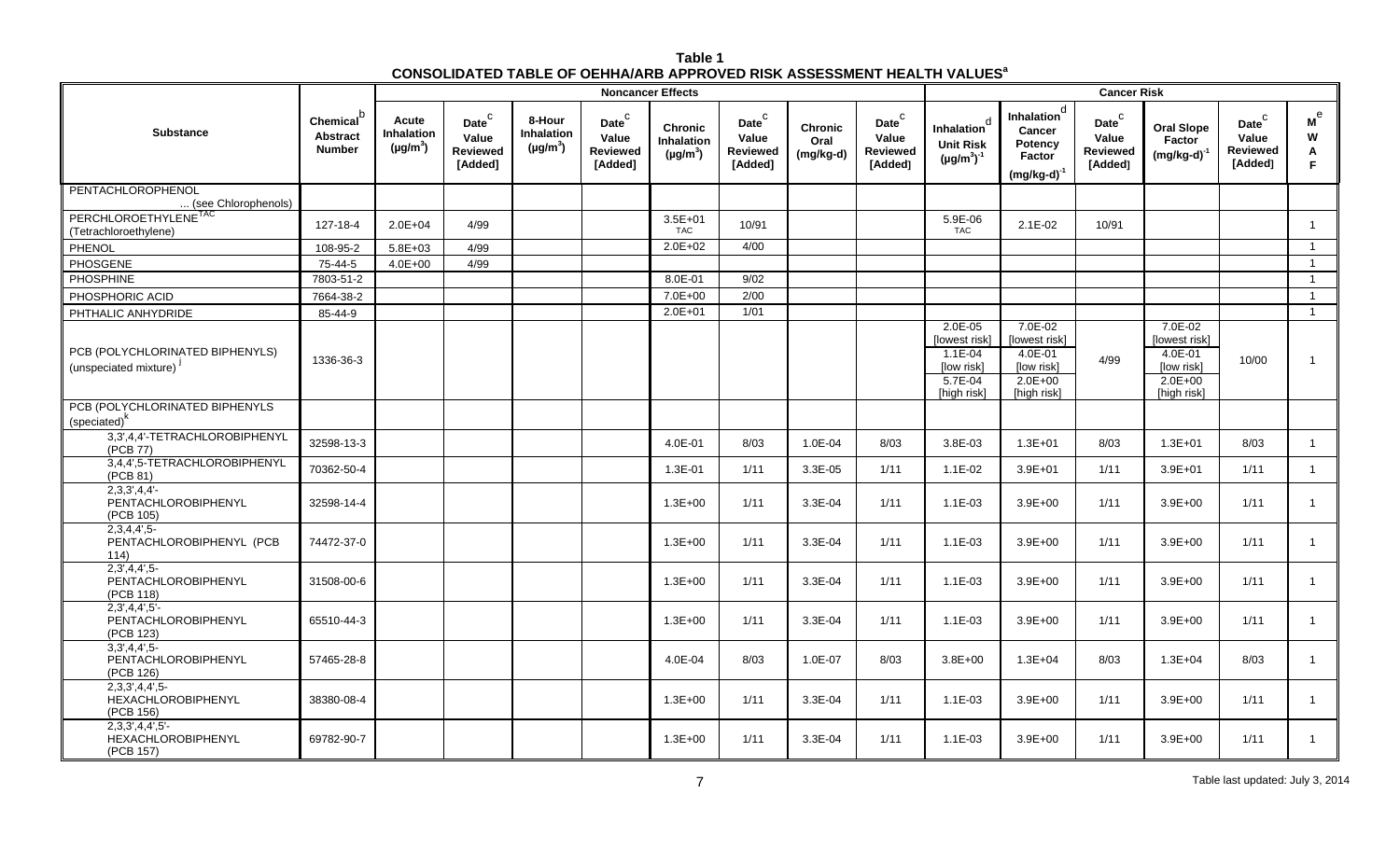| Table 1                                                                                   |  |
|-------------------------------------------------------------------------------------------|--|
| <b>CONSOLIDATED TABLE OF OEHHA/ARB APPROVED RISK ASSESSMENT HEALTH VALUES<sup>8</sup></b> |  |

|                                                              |                                                    |                                             | <b>Noncancer Effects</b>                                 |                                                    |                                                                    |                                                      |                                                                   |                                     |                                                                   |                                                                                 | <b>Cancer Risk</b>                                                                  |                                                            |                                                                                 |                                                          |                                                      |  |  |  |
|--------------------------------------------------------------|----------------------------------------------------|---------------------------------------------|----------------------------------------------------------|----------------------------------------------------|--------------------------------------------------------------------|------------------------------------------------------|-------------------------------------------------------------------|-------------------------------------|-------------------------------------------------------------------|---------------------------------------------------------------------------------|-------------------------------------------------------------------------------------|------------------------------------------------------------|---------------------------------------------------------------------------------|----------------------------------------------------------|------------------------------------------------------|--|--|--|
| <b>Substance</b>                                             | Chemical <sup>D</sup><br>Abstract<br><b>Number</b> | Acute<br><b>Inhalation</b><br>$(\mu g/m^3)$ | Date <sup>C</sup><br>Value<br><b>Reviewed</b><br>[Added] | 8-Hour<br>Inhalation<br>( $\mu$ g/m <sup>3</sup> ) | $\mathsf{Date}^\complement$<br>Value<br><b>Reviewed</b><br>[Added] | <b>Chronic</b><br><b>Inhalation</b><br>$(\mu g/m^3)$ | $\mathsf{Date}^\mathsf{C}$<br>Value<br><b>Reviewed</b><br>[Added] | <b>Chronic</b><br>Oral<br>(mg/kg-d) | $\mathsf{Date}^\mathsf{C}$<br>Value<br><b>Reviewed</b><br>[Added] | Inhalation<br><b>Unit Risk</b><br>$(\mu g/m^3)^{-1}$                            | Inhalation <sup>d</sup><br>Cancer<br>Potency<br>Factor<br>$(mg/kg-d)^{-1}$          | $\mathsf{Date}^\mathsf{C}$<br>Value<br>Reviewed<br>[Added] | <b>Oral Slope</b><br>Factor<br>$(mg/kg-d)^{-1}$                                 | Date <sup>C</sup><br>Value<br><b>Reviewed</b><br>[Added] | $\boldsymbol{\mathsf{M}}^\mathsf{e}$<br>W<br>A<br>F. |  |  |  |
| PENTACHLOROPHENOL<br>(see Chlorophenols)                     |                                                    |                                             |                                                          |                                                    |                                                                    |                                                      |                                                                   |                                     |                                                                   |                                                                                 |                                                                                     |                                                            |                                                                                 |                                                          |                                                      |  |  |  |
| PERCHLOROETHYLENE <sup>TAC</sup><br>(Tetrachloroethylene)    | 127-18-4                                           | $2.0E + 04$                                 | 4/99                                                     |                                                    |                                                                    | $3.5E + 01$<br><b>TAC</b>                            | 10/91                                                             |                                     |                                                                   | 5.9E-06<br>TAC                                                                  | $2.1E-02$                                                                           | 10/91                                                      |                                                                                 |                                                          | $\overline{1}$                                       |  |  |  |
| PHENOL                                                       | 108-95-2                                           | $5.8E + 03$                                 | 4/99                                                     |                                                    |                                                                    | $2.0E + 02$                                          | 4/00                                                              |                                     |                                                                   |                                                                                 |                                                                                     |                                                            |                                                                                 |                                                          | $\overline{1}$                                       |  |  |  |
| PHOSGENE                                                     | 75-44-5                                            | $4.0E + 00$                                 | 4/99                                                     |                                                    |                                                                    |                                                      |                                                                   |                                     |                                                                   |                                                                                 |                                                                                     |                                                            |                                                                                 |                                                          | $\overline{1}$                                       |  |  |  |
| <b>PHOSPHINE</b>                                             | 7803-51-2                                          |                                             |                                                          |                                                    |                                                                    | 8.0E-01                                              | 9/02                                                              |                                     |                                                                   |                                                                                 |                                                                                     |                                                            |                                                                                 |                                                          | $\overline{1}$                                       |  |  |  |
| PHOSPHORIC ACID                                              | 7664-38-2                                          |                                             |                                                          |                                                    |                                                                    | 7.0E+00                                              | 2/00                                                              |                                     |                                                                   |                                                                                 |                                                                                     |                                                            |                                                                                 |                                                          | $\overline{1}$                                       |  |  |  |
| PHTHALIC ANHYDRIDE                                           | 85-44-9                                            |                                             |                                                          |                                                    |                                                                    | $2.0E + 01$                                          | $1/01$                                                            |                                     |                                                                   |                                                                                 |                                                                                     |                                                            |                                                                                 |                                                          | $\overline{1}$                                       |  |  |  |
| PCB (POLYCHLORINATED BIPHENYLS)<br>(unspeciated mixture)     | 1336-36-3                                          |                                             |                                                          |                                                    |                                                                    |                                                      |                                                                   |                                     |                                                                   | 2.0E-05<br>[lowest risk]<br>$1.1E - 04$<br>[low risk]<br>5.7E-04<br>[high risk] | 7.0E-02<br>[lowest risk]<br>$4.0E - 01$<br>[low risk]<br>$2.0E + 00$<br>[high risk] | 4/99                                                       | 7.0E-02<br>[lowest risk]<br>4.0E-01<br>[low risk]<br>$2.0E + 00$<br>[high risk] | 10/00                                                    | -1                                                   |  |  |  |
| PCB (POLYCHLORINATED BIPHENYLS<br>(speciated) <sup>k</sup>   |                                                    |                                             |                                                          |                                                    |                                                                    |                                                      |                                                                   |                                     |                                                                   |                                                                                 |                                                                                     |                                                            |                                                                                 |                                                          |                                                      |  |  |  |
| 3,3',4,4'-TETRACHLOROBIPHENYL<br>(PCB 77)                    | 32598-13-3                                         |                                             |                                                          |                                                    |                                                                    | 4.0E-01                                              | 8/03                                                              | 1.0E-04                             | 8/03                                                              | 3.8E-03                                                                         | $1.3E + 01$                                                                         | 8/03                                                       | $1.3E + 01$                                                                     | 8/03                                                     | $\mathbf{1}$                                         |  |  |  |
| 3,4,4',5-TETRACHLOROBIPHENYL<br>(PCB 81)                     | 70362-50-4                                         |                                             |                                                          |                                                    |                                                                    | 1.3E-01                                              | 1/11                                                              | 3.3E-05                             | 1/11                                                              | $1.1E-02$                                                                       | $3.9E + 01$                                                                         | 1/11                                                       | $3.9E + 01$                                                                     | 1/11                                                     | $\mathbf{1}$                                         |  |  |  |
| $2,3,3',4,4'-$<br>PENTACHLOROBIPHENYL<br>(PCB 105)           | 32598-14-4                                         |                                             |                                                          |                                                    |                                                                    | $1.3E + 00$                                          | 1/11                                                              | 3.3E-04                             | 1/11                                                              | $1.1E-03$                                                                       | $3.9E + 00$                                                                         | 1/11                                                       | $3.9E + 00$                                                                     | 1/11                                                     | $\mathbf{1}$                                         |  |  |  |
| 2,3,4,4',5<br>PENTACHLOROBIPHENYL (PCB<br>114)               | 74472-37-0                                         |                                             |                                                          |                                                    |                                                                    | $1.3E + 00$                                          | 1/11                                                              | 3.3E-04                             | 1/11                                                              | $1.1E-03$                                                                       | $3.9E + 00$                                                                         | 1/11                                                       | $3.9E + 00$                                                                     | 1/11                                                     | $\mathbf{1}$                                         |  |  |  |
| $2.3'$ .4.4'.5-<br>PENTACHLOROBIPHENYL<br>(PCB 118)          | 31508-00-6                                         |                                             |                                                          |                                                    |                                                                    | $1.3E + 00$                                          | 1/11                                                              | 3.3E-04                             | 1/11                                                              | $1.1E-03$                                                                       | $3.9E + 00$                                                                         | 1/11                                                       | $3.9E + 00$                                                                     | 1/11                                                     | $\mathbf{1}$                                         |  |  |  |
| $2,3',4,4',5'$ -<br>PENTACHLOROBIPHENYL<br>(PCB 123)         | 65510-44-3                                         |                                             |                                                          |                                                    |                                                                    | $1.3E + 00$                                          | 1/11                                                              | 3.3E-04                             | 1/11                                                              | $1.1E-03$                                                                       | $3.9E + 00$                                                                         | 1/11                                                       | $3.9E + 00$                                                                     | 1/11                                                     | $\overline{1}$                                       |  |  |  |
| 3,3',4,4',5<br>PENTACHLOROBIPHENYL<br>(PCB 126)              | 57465-28-8                                         |                                             |                                                          |                                                    |                                                                    | 4.0E-04                                              | 8/03                                                              | 1.0E-07                             | 8/03                                                              | $3.8E + 00$                                                                     | $1.3E + 04$                                                                         | 8/03                                                       | $1.3E + 04$                                                                     | 8/03                                                     | $\mathbf{1}$                                         |  |  |  |
| 2,3,3',4,4',5<br><b>HEXACHLOROBIPHENYL</b><br>(PCB 156)      | 38380-08-4                                         |                                             |                                                          |                                                    |                                                                    | $1.3E + 00$                                          | 1/11                                                              | 3.3E-04                             | 1/11                                                              | $1.1E-03$                                                                       | $3.9E + 00$                                                                         | 1/11                                                       | $3.9E + 00$                                                                     | 1/11                                                     | $\mathbf{1}$                                         |  |  |  |
| $2,3,3',4,4',5'$ -<br><b>HEXACHLOROBIPHENYL</b><br>(PCB 157) | 69782-90-7                                         |                                             |                                                          |                                                    |                                                                    | $1.3E + 00$                                          | 1/11                                                              | 3.3E-04                             | 1/11                                                              | $1.1E-03$                                                                       | $3.9E + 00$                                                                         | 1/11                                                       | $3.9E + 00$                                                                     | 1/11                                                     | $\mathbf{1}$                                         |  |  |  |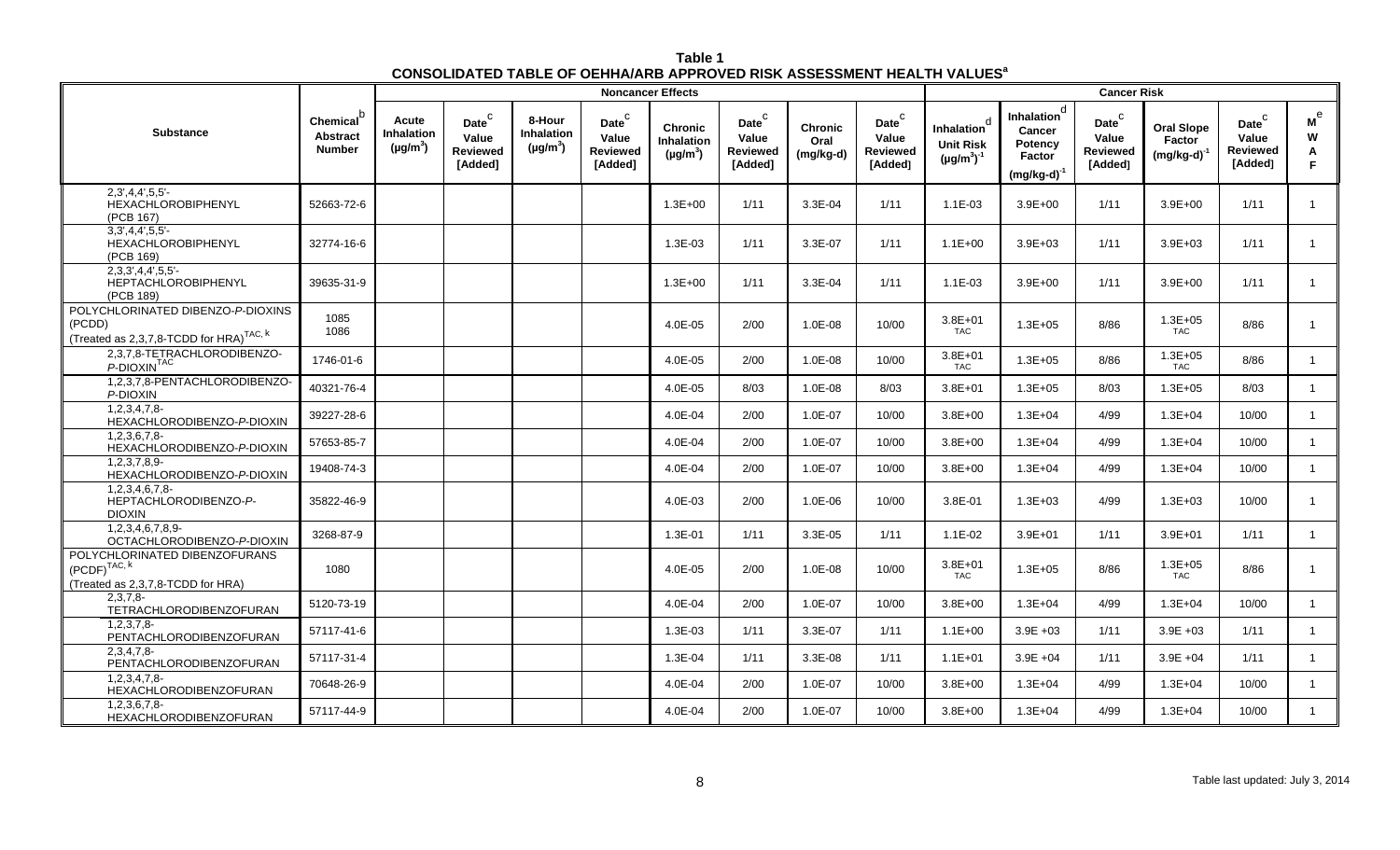| Table 1                                                                                   |  |
|-------------------------------------------------------------------------------------------|--|
| <b>CONSOLIDATED TABLE OF OEHHA/ARB APPROVED RISK ASSESSMENT HEALTH VALUES<sup>8</sup></b> |  |

|                                                                                                    |                                                           |                                      |                                                          |                                       |                                                          | <b>Noncancer Effects</b>                             |                                                            |                                       |                                                  |                                                                             |                                                                    | <b>Cancer Risk</b>                                         |                                                 |                                                            |                                         |
|----------------------------------------------------------------------------------------------------|-----------------------------------------------------------|--------------------------------------|----------------------------------------------------------|---------------------------------------|----------------------------------------------------------|------------------------------------------------------|------------------------------------------------------------|---------------------------------------|--------------------------------------------------|-----------------------------------------------------------------------------|--------------------------------------------------------------------|------------------------------------------------------------|-------------------------------------------------|------------------------------------------------------------|-----------------------------------------|
| <b>Substance</b>                                                                                   | Chemical <sup>b</sup><br><b>Abstract</b><br><b>Number</b> | Acute<br>Inhalation<br>$(\mu g/m^3)$ | Date <sup>C</sup><br>Value<br><b>Reviewed</b><br>[Added] | 8-Hour<br>Inhalation<br>$(\mu g/m^3)$ | Date <sup>C</sup><br>Value<br><b>Reviewed</b><br>[Added] | <b>Chronic</b><br><b>Inhalation</b><br>$(\mu g/m^3)$ | $\mathsf{Date}^\mathsf{C}$<br>Value<br>Reviewed<br>[Added] | <b>Chronic</b><br>Oral<br>$(mg/kg-d)$ | Date $^C$<br>Value<br><b>Reviewed</b><br>[Added] | <sub>c</sub><br><b>Inhalation</b><br><b>Unit Risk</b><br>$(\mu g/m^3)^{-1}$ | d<br>Inhalation<br>Cancer<br>Potency<br>Factor<br>$(mg/kg-d)^{-1}$ | $\mathsf{Date}^\mathsf{C}$<br>Value<br>Reviewed<br>[Added] | <b>Oral Slope</b><br>Factor<br>$(mg/kg-d)^{-1}$ | $\mathsf{Date}^\mathsf{C}$<br>Value<br>Reviewed<br>[Added] | $\mathsf{M}^\mathrm{e}$<br>W<br>Α<br>F. |
| $2,3',4,4',5,5'-$<br><b>HEXACHLOROBIPHENYL</b><br>(PCB 167)                                        | 52663-72-6                                                |                                      |                                                          |                                       |                                                          | $1.3E + 00$                                          | 1/11                                                       | 3.3E-04                               | 1/11                                             | $1.1E - 03$                                                                 | $3.9E + 00$                                                        | 1/11                                                       | $3.9E + 00$                                     | 1/11                                                       |                                         |
| $3,3',4,4',5,5'$ -<br>HEXACHLOROBIPHENYL<br>(PCB 169)                                              | 32774-16-6                                                |                                      |                                                          |                                       |                                                          | 1.3E-03                                              | 1/11                                                       | 3.3E-07                               | 1/11                                             | $1.1E + 00$                                                                 | $3.9E + 03$                                                        | 1/11                                                       | $3.9E + 03$                                     | 1/11                                                       |                                         |
| $2,3,3',4,4',5,5'-$<br>HEPTACHLOROBIPHENYL<br>(PCB 189)                                            | 39635-31-9                                                |                                      |                                                          |                                       |                                                          | $1.3E + 00$                                          | 1/11                                                       | 3.3E-04                               | 1/11                                             | 1.1E-03                                                                     | $3.9E + 00$                                                        | 1/11                                                       | $3.9E + 00$                                     | 1/11                                                       |                                         |
| POLYCHLORINATED DIBENZO-P-DIOXINS<br>(PCDD)<br>(Treated as 2,3,7,8-TCDD for HRA) <sup>TAC, k</sup> | 1085<br>1086                                              |                                      |                                                          |                                       |                                                          | 4.0E-05                                              | 2/00                                                       | 1.0E-08                               | 10/00                                            | $3.8E + 01$<br><b>TAC</b>                                                   | $1.3E + 05$                                                        | 8/86                                                       | $1.3E + 05$<br><b>TAC</b>                       | 8/86                                                       |                                         |
| 2,3,7,8-TETRACHLORODIBENZO-<br>P-DIOXIN <sup>TAC</sup>                                             | 1746-01-6                                                 |                                      |                                                          |                                       |                                                          | 4.0E-05                                              | 2/00                                                       | 1.0E-08                               | 10/00                                            | $3.8E + 01$<br>TAC                                                          | $1.3E + 05$                                                        | 8/86                                                       | $1.3E + 05$<br><b>TAC</b>                       | 8/86                                                       | $\overline{1}$                          |
| 1,2,3,7,8-PENTACHLORODIBENZO-<br>P-DIOXIN                                                          | 40321-76-4                                                |                                      |                                                          |                                       |                                                          | 4.0E-05                                              | 8/03                                                       | $1.0E-08$                             | 8/03                                             | $3.8E + 01$                                                                 | $1.3E + 0.5$                                                       | 8/03                                                       | $1.3E + 0.5$                                    | 8/03                                                       | $\mathbf{1}$                            |
| 1,2,3,4,7,8<br>HEXACHLORODIBENZO-P-DIOXIN                                                          | 39227-28-6                                                |                                      |                                                          |                                       |                                                          | 4.0E-04                                              | 2/00                                                       | 1.0E-07                               | 10/00                                            | $3.8E + 00$                                                                 | $1.3E + 04$                                                        | 4/99                                                       | $1.3E + 04$                                     | 10/00                                                      | $\overline{1}$                          |
| $1,2,3,6,7,8-$<br>HEXACHLORODIBENZO-P-DIOXIN                                                       | 57653-85-7                                                |                                      |                                                          |                                       |                                                          | 4.0E-04                                              | 2/00                                                       | 1.0E-07                               | 10/00                                            | $3.8E + 00$                                                                 | $1.3E + 04$                                                        | 4/99                                                       | $1.3E + 04$                                     | 10/00                                                      | $\overline{1}$                          |
| $1,2,3,7,8,9-$<br>HEXACHLORODIBENZO-P-DIOXIN                                                       | 19408-74-3                                                |                                      |                                                          |                                       |                                                          | 4.0E-04                                              | 2/00                                                       | 1.0E-07                               | 10/00                                            | $3.8E + 00$                                                                 | $1.3E + 04$                                                        | 4/99                                                       | $1.3E + 04$                                     | 10/00                                                      | $\overline{1}$                          |
| 1.2.3.4.6.7.8<br>HEPTACHLORODIBENZO-P-<br><b>DIOXIN</b>                                            | 35822-46-9                                                |                                      |                                                          |                                       |                                                          | 4.0E-03                                              | 2/00                                                       | 1.0E-06                               | 10/00                                            | 3.8E-01                                                                     | $1.3E + 03$                                                        | 4/99                                                       | $1.3E + 03$                                     | 10/00                                                      | $\overline{1}$                          |
| 1.2.3.4.6.7.8.9-<br>OCTACHLORODIBENZO-P-DIOXIN                                                     | 3268-87-9                                                 |                                      |                                                          |                                       |                                                          | 1.3E-01                                              | 1/11                                                       | 3.3E-05                               | 1/11                                             | $1.1E-02$                                                                   | $3.9E + 01$                                                        | 1/11                                                       | $3.9E + 01$                                     | 1/11                                                       |                                         |
| POLYCHLORINATED DIBENZOFURANS<br>$(PCDF)^{TAC, k}$<br>(Treated as 2,3,7,8-TCDD for HRA)            | 1080                                                      |                                      |                                                          |                                       |                                                          | 4.0E-05                                              | 2/00                                                       | $1.0E-08$                             | 10/00                                            | $3.8E + 01$<br>TAC                                                          | $1.3E + 0.5$                                                       | 8/86                                                       | $1.3E + 05$<br><b>TAC</b>                       | 8/86                                                       | -1                                      |
| $2.3.7.8 -$<br>TETRACHLORODIBENZOFURAN                                                             | 5120-73-19                                                |                                      |                                                          |                                       |                                                          | 4.0E-04                                              | 2/00                                                       | 1.0E-07                               | 10/00                                            | $3.8E + 00$                                                                 | $1.3E + 04$                                                        | 4/99                                                       | $1.3E + 04$                                     | 10/00                                                      | $\overline{1}$                          |
| $1.2.3.7.8 -$<br>PENTACHLORODIBENZOFURAN                                                           | 57117-41-6                                                |                                      |                                                          |                                       |                                                          | $1.3E-03$                                            | 1/11                                                       | 3.3E-07                               | 1/11                                             | $1.1E + 00$                                                                 | $3.9E + 03$                                                        | 1/11                                                       | $3.9E + 03$                                     | 1/11                                                       | $\mathbf{1}$                            |
| 2,3,4,7,8<br>PENTACHLORODIBENZOFURAN                                                               | 57117-31-4                                                |                                      |                                                          |                                       |                                                          | 1.3E-04                                              | 1/11                                                       | 3.3E-08                               | 1/11                                             | $1.1E + 01$                                                                 | $3.9E + 04$                                                        | 1/11                                                       | $3.9E + 04$                                     | 1/11                                                       | $\overline{1}$                          |
| 1,2,3,4,7,8<br>HEXACHLORODIBENZOFURAN                                                              | 70648-26-9                                                |                                      |                                                          |                                       |                                                          | 4.0E-04                                              | 2/00                                                       | 1.0E-07                               | 10/00                                            | $3.8E + 00$                                                                 | $1.3E + 04$                                                        | 4/99                                                       | $1.3E + 04$                                     | 10/00                                                      | $\overline{1}$                          |
| $1,2,3,6,7,8-$<br>HEXACHLORODIBENZOFURAN                                                           | 57117-44-9                                                |                                      |                                                          |                                       |                                                          | 4.0E-04                                              | 2/00                                                       | 1.0E-07                               | 10/00                                            | $3.8E + 00$                                                                 | $1.3E + 04$                                                        | 4/99                                                       | $1.3E + 04$                                     | 10/00                                                      | $\overline{1}$                          |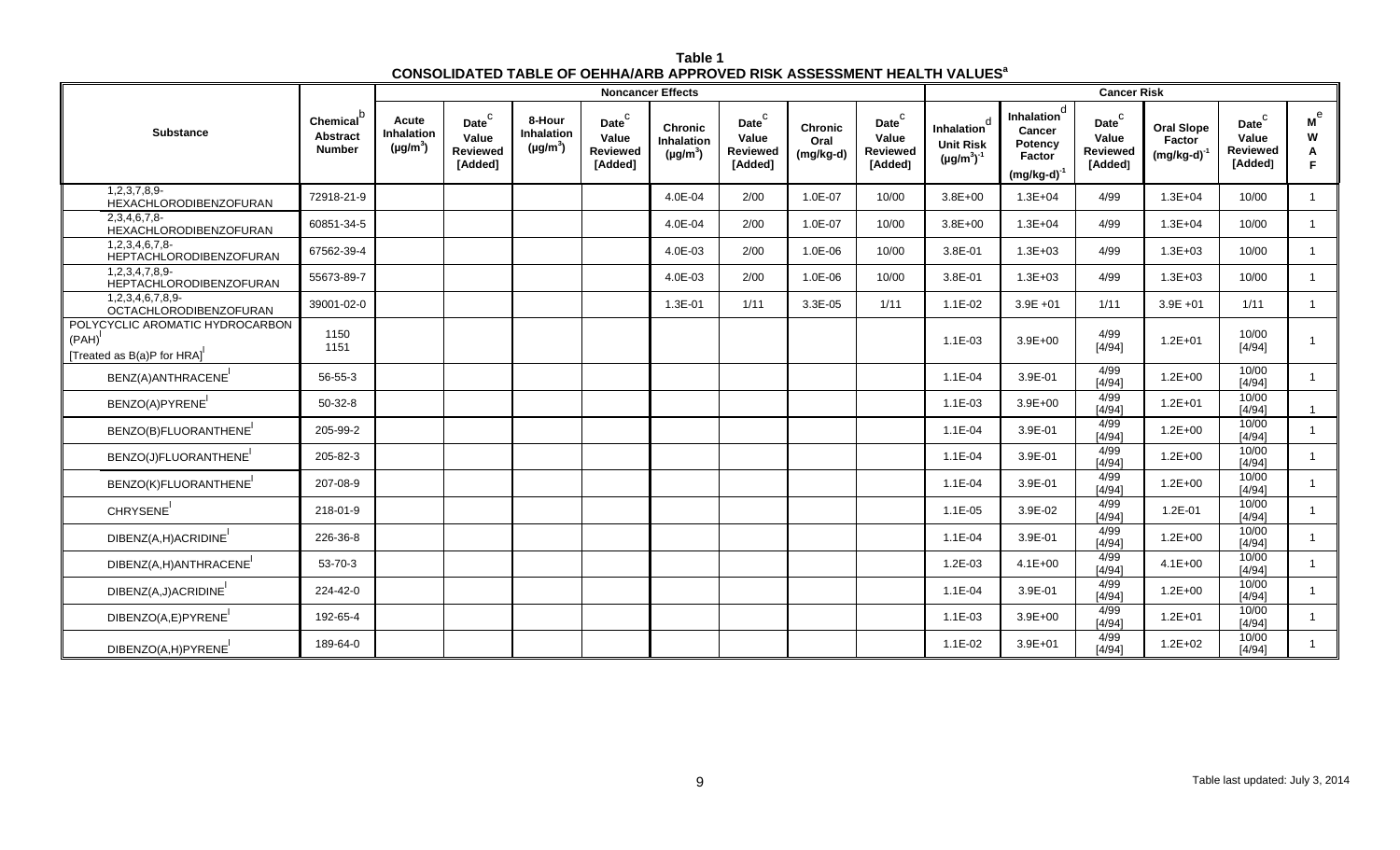| Table 1                                                                                   |
|-------------------------------------------------------------------------------------------|
| <b>CONSOLIDATED TABLE OF OEHHA/ARB APPROVED RISK ASSESSMENT HEALTH VALUES<sup>8</sup></b> |

|                                                                              |                                                     |                                                    |                                                   |                                              |                                                            | <b>Noncancer Effects</b>                      |                                                            |                                     |                                                                   |                                                                  |                                                                            | <b>Cancer Risk</b>                                       |                                                 |                                                                   |                                          |
|------------------------------------------------------------------------------|-----------------------------------------------------|----------------------------------------------------|---------------------------------------------------|----------------------------------------------|------------------------------------------------------------|-----------------------------------------------|------------------------------------------------------------|-------------------------------------|-------------------------------------------------------------------|------------------------------------------------------------------|----------------------------------------------------------------------------|----------------------------------------------------------|-------------------------------------------------|-------------------------------------------------------------------|------------------------------------------|
| Substance                                                                    | <b>Chemical</b><br><b>Abstract</b><br><b>Number</b> | Acute<br><b>Inhalation</b><br>(µg/m <sup>3</sup> ) | Date <sup>C</sup><br>Value<br>Reviewed<br>[Added] | 8-Hour<br><b>Inhalation</b><br>$(\mu g/m^3)$ | $\mathsf{Date}^\mathsf{C}$<br>Value<br>Reviewed<br>[Added] | <b>Chronic</b><br>Inhalation<br>$(\mu g/m^3)$ | $\mathsf{Date}^\mathsf{C}$<br>Value<br>Reviewed<br>[Added] | <b>Chronic</b><br>Oral<br>(mg/kg-d) | $\mathsf{Date}^\mathsf{C}$<br>Value<br><b>Reviewed</b><br>[Added] | d<br><b>Inhalation</b><br><b>Unit Risk</b><br>$(\mu g/m^3)^{-1}$ | Inhalation <sup>d</sup><br>Cancer<br>Potency<br>Factor<br>$(mg/kg-d)^{-1}$ | Date <sup>C</sup><br>Value<br><b>Reviewed</b><br>[Added] | <b>Oral Slope</b><br>Factor<br>$(mg/kg-d)^{-1}$ | $\mathsf{Date}^\mathsf{C}$<br>Value<br><b>Reviewed</b><br>[Added] | $\mathbf{M}^{\mathrm{e}}$<br>W<br>Α<br>F |
| 1,2,3,7,8,9-<br>HEXACHLORODIBENZOFURAN                                       | 72918-21-9                                          |                                                    |                                                   |                                              |                                                            | 4.0E-04                                       | 2/00                                                       | 1.0E-07                             | 10/00                                                             | $3.8E + 00$                                                      | $1.3E + 04$                                                                | 4/99                                                     | $1.3E + 04$                                     | 10/00                                                             | $\overline{1}$                           |
| 2,3,4,6,7,8<br><b>HEXACHLORODIBENZOFURAN</b>                                 | 60851-34-5                                          |                                                    |                                                   |                                              |                                                            | 4.0E-04                                       | 2/00                                                       | 1.0E-07                             | 10/00                                                             | $3.8E + 00$                                                      | $1.3E + 04$                                                                | 4/99                                                     | $1.3E + 04$                                     | 10/00                                                             | $\overline{1}$                           |
| 1,2,3,4,6,7,8-<br>HEPTACHLORODIBENZOFURAN                                    | 67562-39-4                                          |                                                    |                                                   |                                              |                                                            | 4.0E-03                                       | 2/00                                                       | 1.0E-06                             | 10/00                                                             | 3.8E-01                                                          | $1.3E + 03$                                                                | 4/99                                                     | $1.3E + 03$                                     | 10/00                                                             | $\overline{1}$                           |
| 1,2,3,4,7,8,9<br><b>HEPTACHLORODIBENZOFURAN</b>                              | 55673-89-7                                          |                                                    |                                                   |                                              |                                                            | 4.0E-03                                       | 2/00                                                       | 1.0E-06                             | 10/00                                                             | 3.8E-01                                                          | $1.3E + 03$                                                                | 4/99                                                     | $1.3E + 03$                                     | 10/00                                                             | $\overline{1}$                           |
| 1,2,3,4,6,7,8,9-<br>OCTACHLORODIBENZOFURAN                                   | 39001-02-0                                          |                                                    |                                                   |                                              |                                                            | 1.3E-01                                       | 1/11                                                       | 3.3E-05                             | 1/11                                                              | $1.1E-02$                                                        | $3.9E +01$                                                                 | 1/11                                                     | $3.9E + 01$                                     | 1/11                                                              | $\overline{1}$                           |
| POLYCYCLIC AROMATIC HYDROCARBON<br>$(PAH)^{1}$<br>[Treated as B(a)P for HRA] | 1150<br>1151                                        |                                                    |                                                   |                                              |                                                            |                                               |                                                            |                                     |                                                                   | $1.1E-03$                                                        | $3.9E + 00$                                                                | 4/99<br>[4/94]                                           | $1.2E + 01$                                     | 10/00<br>[4/94]                                                   |                                          |
| BENZ(A) ANTHRACENE <sup>1</sup>                                              | 56-55-3                                             |                                                    |                                                   |                                              |                                                            |                                               |                                                            |                                     |                                                                   | $1.1E-04$                                                        | 3.9E-01                                                                    | 4/99<br>[4/94]                                           | $1.2E + 00$                                     | 10/00<br>[4/94]                                                   | $\overline{1}$                           |
| BENZO(A)PYRENE                                                               | $50-32-8$                                           |                                                    |                                                   |                                              |                                                            |                                               |                                                            |                                     |                                                                   | $1.1E-03$                                                        | $3.9E + 00$                                                                | 4/99<br>[4/94]                                           | $1.2E + 01$                                     | 10/00<br>[4/94]                                                   |                                          |
| BENZO(B)FLUORANTHENE                                                         | 205-99-2                                            |                                                    |                                                   |                                              |                                                            |                                               |                                                            |                                     |                                                                   | $1.1E - 04$                                                      | 3.9E-01                                                                    | 4/99<br>$[4/94]$                                         | $1.2E + 00$                                     | 10/00<br>[4/94]                                                   | $\overline{1}$                           |
| BENZO(J)FLUORANTHENE <sup>1</sup>                                            | 205-82-3                                            |                                                    |                                                   |                                              |                                                            |                                               |                                                            |                                     |                                                                   | $1.1E - 04$                                                      | 3.9E-01                                                                    | 4/99<br>[4/94]                                           | $1.2E + 00$                                     | 10/00<br>[4/94]                                                   |                                          |
| BENZO(K)FLUORANTHENE                                                         | 207-08-9                                            |                                                    |                                                   |                                              |                                                            |                                               |                                                            |                                     |                                                                   | $1.1E - 04$                                                      | 3.9E-01                                                                    | 4/99<br>[4/94]                                           | $1.2E + 00$                                     | 10/00<br>[4/94]                                                   | $\overline{1}$                           |
| CHRYSENE <sup>1</sup>                                                        | 218-01-9                                            |                                                    |                                                   |                                              |                                                            |                                               |                                                            |                                     |                                                                   | $1.1E-05$                                                        | 3.9E-02                                                                    | 4/99<br>[4/94]                                           | $1.2E - 01$                                     | 10/00<br>[4/94]                                                   |                                          |
| DIBENZ(A,H)ACRIDINE                                                          | 226-36-8                                            |                                                    |                                                   |                                              |                                                            |                                               |                                                            |                                     |                                                                   | $1.1E-04$                                                        | 3.9E-01                                                                    | 4/99<br>[4/94]                                           | $1.2E + 00$                                     | 10/00<br>[4/94]                                                   |                                          |
| DIBENZ(A,H)ANTHRACENE                                                        | 53-70-3                                             |                                                    |                                                   |                                              |                                                            |                                               |                                                            |                                     |                                                                   | $1.2E - 03$                                                      | $4.1E + 00$                                                                | 4/99<br>[4/94]                                           | $4.1E + 00$                                     | 10/00<br>[4/94]                                                   | $\overline{1}$                           |
| DIBENZ(A,J)ACRIDINE                                                          | 224-42-0                                            |                                                    |                                                   |                                              |                                                            |                                               |                                                            |                                     |                                                                   | $1.1E-04$                                                        | 3.9E-01                                                                    | 4/99<br>[4/94]                                           | $1.2E + 00$                                     | 10/00<br>[4/94]                                                   |                                          |
| DIBENZO(A,E)PYRENE                                                           | 192-65-4                                            |                                                    |                                                   |                                              |                                                            |                                               |                                                            |                                     |                                                                   | $1.1E-03$                                                        | $3.9E + 00$                                                                | 4/99<br>[4/94]                                           | $1.2E + 01$                                     | 10/00<br>[4/94]                                                   | $\overline{1}$                           |
| DIBENZO(A,H)PYRENE                                                           | 189-64-0                                            |                                                    |                                                   |                                              |                                                            |                                               |                                                            |                                     |                                                                   | $1.1E-02$                                                        | $3.9E + 01$                                                                | 4/99<br>[4/94]                                           | $1.2E + 02$                                     | 10/00<br>$[4/94]$                                                 |                                          |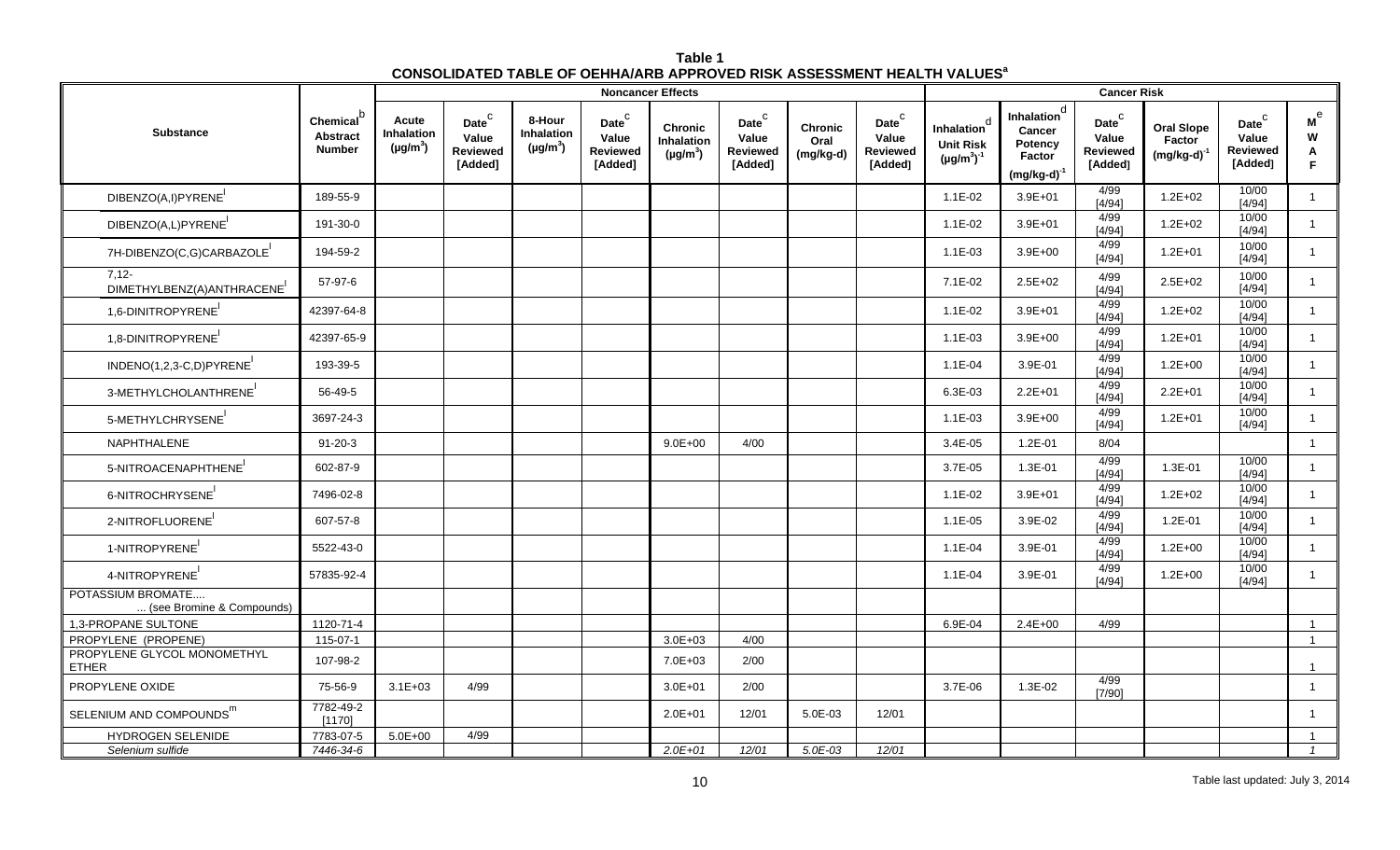| Table 1                                                                                   |  |
|-------------------------------------------------------------------------------------------|--|
| <b>CONSOLIDATED TABLE OF OEHHA/ARB APPROVED RISK ASSESSMENT HEALTH VALUES<sup>8</sup></b> |  |

|                                                |                                                           |                                      |                                                          |                                       |                                                                    | <b>Noncancer Effects</b>                      |                                                        |                                     |                                                        | <b>Cancer Risk</b>                                               |                                                                            |                                                            |                                            |                                                                   |                                |
|------------------------------------------------|-----------------------------------------------------------|--------------------------------------|----------------------------------------------------------|---------------------------------------|--------------------------------------------------------------------|-----------------------------------------------|--------------------------------------------------------|-------------------------------------|--------------------------------------------------------|------------------------------------------------------------------|----------------------------------------------------------------------------|------------------------------------------------------------|--------------------------------------------|-------------------------------------------------------------------|--------------------------------|
| <b>Substance</b>                               | Chemical <sup>®</sup><br><b>Abstract</b><br><b>Number</b> | Acute<br>Inhalation<br>$(\mu g/m^3)$ | Date <sup>C</sup><br>Value<br><b>Reviewed</b><br>[Added] | 8-Hour<br>Inhalation<br>$(\mu g/m^3)$ | $\mathsf{Date}^\complement$<br>Value<br><b>Reviewed</b><br>[Added] | <b>Chronic</b><br>Inhalation<br>$(\mu g/m^3)$ | Date $^{\rm C}$<br>Value<br><b>Reviewed</b><br>[Added] | <b>Chronic</b><br>Oral<br>(mg/kg-d) | Date $^{\rm C}$<br>Value<br><b>Reviewed</b><br>[Added] | d<br><b>Inhalation</b><br><b>Unit Risk</b><br>$(\mu g/m^3)^{-1}$ | Inhalation <sup>d</sup><br>Cancer<br>Potency<br>Factor<br>$(mg/kg-d)^{-1}$ | $\mathsf{Date}^\mathsf{C}$<br>Value<br>Reviewed<br>[Added] | <b>Oral Slope</b><br>Factor<br>$(mg/kg-d)$ | $\mathsf{Date}^\mathsf{C}$<br>Value<br><b>Reviewed</b><br>[Added] | M <sup>e</sup><br>W<br>A<br>F. |
| DIBENZO(A,I)PYRENE                             | 189-55-9                                                  |                                      |                                                          |                                       |                                                                    |                                               |                                                        |                                     |                                                        | $1.1E-02$                                                        | $3.9E + 01$                                                                | 4/99<br>[4/94]                                             | $1.2E + 02$                                | 10/00<br>[4/94]                                                   |                                |
| DIBENZO(A,L)PYRENE                             | 191-30-0                                                  |                                      |                                                          |                                       |                                                                    |                                               |                                                        |                                     |                                                        | $1.1E-02$                                                        | $3.9E + 01$                                                                | 4/99<br>[4/94]                                             | $1.2E + 02$                                | 10/00<br>[4/94]                                                   | $\overline{1}$                 |
| 7H-DIBENZO(C,G)CARBAZOLE                       | 194-59-2                                                  |                                      |                                                          |                                       |                                                                    |                                               |                                                        |                                     |                                                        | $1.1E-03$                                                        | $3.9E + 00$                                                                | 4/99<br>[4/94]                                             | $1.2E + 01$                                | 10/00<br>[4/94]                                                   | $\mathbf{1}$                   |
| $7,12-$<br>DIMETHYLBENZ(A) ANTHRACENE          | 57-97-6                                                   |                                      |                                                          |                                       |                                                                    |                                               |                                                        |                                     |                                                        | $7.1E-02$                                                        | $2.5E + 02$                                                                | 4/99<br>[4/94]                                             | $2.5E + 02$                                | 10/00<br>[4/94]                                                   | $\overline{1}$                 |
| 1,6-DINITROPYRENE                              | 42397-64-8                                                |                                      |                                                          |                                       |                                                                    |                                               |                                                        |                                     |                                                        | $1.1E-02$                                                        | $3.9E + 01$                                                                | 4/99<br>[4/94]                                             | $1.2E + 02$                                | 10/00<br>[4/94]                                                   | $\overline{1}$                 |
| 1,8-DINITROPYRENE                              | 42397-65-9                                                |                                      |                                                          |                                       |                                                                    |                                               |                                                        |                                     |                                                        | $1.1E-03$                                                        | $3.9E + 00$                                                                | 4/99<br>[4/94]                                             | $1.2E + 01$                                | 10/00<br>[4/94]                                                   | $\mathbf{1}$                   |
| INDENO(1,2,3-C,D)PYRENE                        | 193-39-5                                                  |                                      |                                                          |                                       |                                                                    |                                               |                                                        |                                     |                                                        | $1.1E-04$                                                        | 3.9E-01                                                                    | 4/99<br>[4/94]                                             | $1.2E + 00$                                | 10/00<br>[4/94]                                                   | $\overline{1}$                 |
| 3-METHYLCHOLANTHRENE                           | 56-49-5                                                   |                                      |                                                          |                                       |                                                                    |                                               |                                                        |                                     |                                                        | 6.3E-03                                                          | $2.2E + 01$                                                                | 4/99<br>[4/94]                                             | $2.2E + 01$                                | 10/00<br>[4/94]                                                   | $\mathbf{1}$                   |
| 5-METHYLCHRYSENE                               | 3697-24-3                                                 |                                      |                                                          |                                       |                                                                    |                                               |                                                        |                                     |                                                        | $1.1E-03$                                                        | $3.9E + 00$                                                                | 4/99<br>[4/94]                                             | $1.2E + 01$                                | 10/00<br>$[4/94]$                                                 | $\overline{1}$                 |
| NAPHTHALENE                                    | $91 - 20 - 3$                                             |                                      |                                                          |                                       |                                                                    | $9.0E + 00$                                   | 4/00                                                   |                                     |                                                        | 3.4E-05                                                          | 1.2E-01                                                                    | 8/04                                                       |                                            |                                                                   | $\overline{1}$                 |
| 5-NITROACENAPHTHENE                            | 602-87-9                                                  |                                      |                                                          |                                       |                                                                    |                                               |                                                        |                                     |                                                        | 3.7E-05                                                          | 1.3E-01                                                                    | 4/99<br>[4/94]                                             | 1.3E-01                                    | 10/00<br>[4/94]                                                   | $\overline{1}$                 |
| 6-NITROCHRYSENE                                | 7496-02-8                                                 |                                      |                                                          |                                       |                                                                    |                                               |                                                        |                                     |                                                        | $1.1E-02$                                                        | $3.9E + 01$                                                                | 4/99<br>[4/94]                                             | $1.2E + 02$                                | 10/00<br>[4/94]                                                   | $\mathbf{1}$                   |
| 2-NITROFLUORENE                                | 607-57-8                                                  |                                      |                                                          |                                       |                                                                    |                                               |                                                        |                                     |                                                        | $1.1E - 05$                                                      | 3.9E-02                                                                    | 4/99<br>[4/94]                                             | $1.2E - 01$                                | 10/00<br>[4/94]                                                   | $\mathbf{1}$                   |
| 1-NITROPYRENE                                  | 5522-43-0                                                 |                                      |                                                          |                                       |                                                                    |                                               |                                                        |                                     |                                                        | $1.1E-04$                                                        | 3.9E-01                                                                    | 4/99<br>[4/94]                                             | $1.2E + 00$                                | 10/00<br>[4/94]                                                   | $\overline{1}$                 |
| 4-NITROPYRENE                                  | 57835-92-4                                                |                                      |                                                          |                                       |                                                                    |                                               |                                                        |                                     |                                                        | $1.1E - 04$                                                      | 3.9E-01                                                                    | 4/99<br>[4/94]                                             | $1.2E + 00$                                | 10/00<br>[4/94]                                                   | $\overline{1}$                 |
| POTASSIUM BROMATE<br>(see Bromine & Compounds) |                                                           |                                      |                                                          |                                       |                                                                    |                                               |                                                        |                                     |                                                        |                                                                  |                                                                            |                                                            |                                            |                                                                   |                                |
| 1,3-PROPANE SULTONE                            | 1120-71-4                                                 |                                      |                                                          |                                       |                                                                    |                                               |                                                        |                                     |                                                        | 6.9E-04                                                          | $2.4E + 00$                                                                | 4/99                                                       |                                            |                                                                   | $\overline{1}$                 |
| PROPYLENE (PROPENE)                            | 115-07-1                                                  |                                      |                                                          |                                       |                                                                    | $3.0E + 03$                                   | 4/00                                                   |                                     |                                                        |                                                                  |                                                                            |                                                            |                                            |                                                                   | $\overline{1}$                 |
| PROPYLENE GLYCOL MONOMETHYL<br><b>ETHER</b>    | 107-98-2                                                  |                                      |                                                          |                                       |                                                                    | 7.0E+03                                       | 2/00                                                   |                                     |                                                        |                                                                  |                                                                            |                                                            |                                            |                                                                   | $\overline{1}$                 |
| PROPYLENE OXIDE                                | 75-56-9                                                   | $3.1E + 03$                          | 4/99                                                     |                                       |                                                                    | $3.0E + 01$                                   | 2/00                                                   |                                     |                                                        | 3.7E-06                                                          | 1.3E-02                                                                    | 4/99<br>[7/90]                                             |                                            |                                                                   | $\overline{1}$                 |
| SELENIUM AND COMPOUNDS <sup>m</sup>            | 7782-49-2<br>[1170]                                       |                                      |                                                          |                                       |                                                                    | $2.0E + 01$                                   | 12/01                                                  | 5.0E-03                             | 12/01                                                  |                                                                  |                                                                            |                                                            |                                            |                                                                   | $\overline{1}$                 |
| HYDROGEN SELENIDE                              | 7783-07-5                                                 | $5.0E + 00$                          | 4/99                                                     |                                       |                                                                    |                                               |                                                        |                                     |                                                        |                                                                  |                                                                            |                                                            |                                            |                                                                   |                                |
| Selenium sulfide                               | 7446-34-6                                                 |                                      |                                                          |                                       |                                                                    | $2.0E + 01$                                   | 12/01                                                  | $5.0E-03$                           | 12/01                                                  |                                                                  |                                                                            |                                                            |                                            |                                                                   |                                |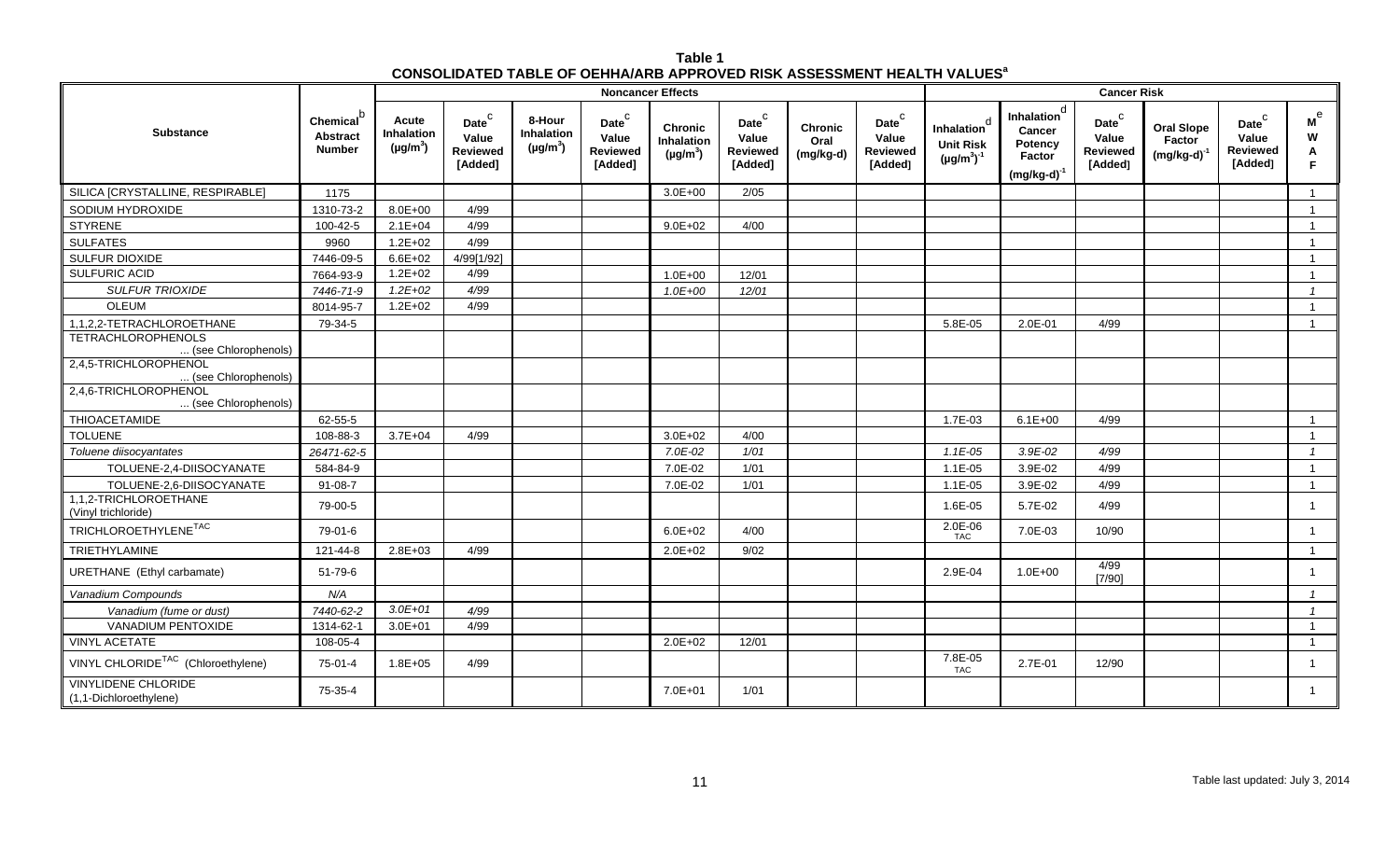| Table 1                                                                                   |
|-------------------------------------------------------------------------------------------|
| <b>CONSOLIDATED TABLE OF OEHHA/ARB APPROVED RISK ASSESSMENT HEALTH VALUES<sup>8</sup></b> |

|                                                                           |                                              |                                      |                                                   |                                              | <b>Noncancer Effects</b>                                          |                                               |                                                            |                                     | <b>Cancer Risk</b>                                                |                                                                      |                                                                            |                                                                    |                                                 |                                                                   |                                         |  |
|---------------------------------------------------------------------------|----------------------------------------------|--------------------------------------|---------------------------------------------------|----------------------------------------------|-------------------------------------------------------------------|-----------------------------------------------|------------------------------------------------------------|-------------------------------------|-------------------------------------------------------------------|----------------------------------------------------------------------|----------------------------------------------------------------------------|--------------------------------------------------------------------|-------------------------------------------------|-------------------------------------------------------------------|-----------------------------------------|--|
| <b>Substance</b>                                                          | Chemical<br><b>Abstract</b><br><b>Number</b> | Acute<br>Inhalation<br>$(\mu g/m^3)$ | Date <sup>C</sup><br>Value<br>Reviewed<br>[Added] | 8-Hour<br><b>Inhalation</b><br>$(\mu g/m^3)$ | $\mathsf{Date}^\mathsf{C}$<br>Value<br><b>Reviewed</b><br>[Added] | <b>Chronic</b><br>Inhalation<br>$(\mu g/m^3)$ | $\mathsf{Date}^\mathsf{C}$<br>Value<br>Reviewed<br>[Added] | <b>Chronic</b><br>Oral<br>(mg/kg-d) | $\mathsf{Date}^\mathsf{C}$<br>Value<br><b>Reviewed</b><br>[Added] | <sub>d</sub><br>Inhalation<br><b>Unit Risk</b><br>$(\mu g/m^3)^{-1}$ | Inhalation <sup>d</sup><br>Cancer<br>Potency<br>Factor<br>$(mg/kg-d)^{-1}$ | $\mathsf{Date}^\complement$<br>Value<br><b>Reviewed</b><br>[Added] | <b>Oral Slope</b><br>Factor<br>$(mg/kg-d)^{-1}$ | $\mathsf{Date}^\mathsf{C}$<br>Value<br><b>Reviewed</b><br>[Added] | $\mathsf{M}^\mathrm{e}$<br>W<br>Α<br>F. |  |
| SILICA [CRYSTALLINE, RESPIRABLE]                                          | 1175                                         |                                      |                                                   |                                              |                                                                   | $3.0E + 00$                                   | 2/05                                                       |                                     |                                                                   |                                                                      |                                                                            |                                                                    |                                                 |                                                                   | $\overline{1}$                          |  |
| SODIUM HYDROXIDE                                                          | 1310-73-2                                    | $8.0E + 00$                          | 4/99                                              |                                              |                                                                   |                                               |                                                            |                                     |                                                                   |                                                                      |                                                                            |                                                                    |                                                 |                                                                   | $\mathbf{1}$                            |  |
| <b>STYRENE</b>                                                            | 100-42-5                                     | $2.1E + 04$                          | 4/99                                              |                                              |                                                                   | $9.0E + 02$                                   | 4/00                                                       |                                     |                                                                   |                                                                      |                                                                            |                                                                    |                                                 |                                                                   | $\mathbf{1}$                            |  |
| <b>SULFATES</b>                                                           | 9960                                         | $1.2E + 02$                          | 4/99                                              |                                              |                                                                   |                                               |                                                            |                                     |                                                                   |                                                                      |                                                                            |                                                                    |                                                 |                                                                   | $\overline{1}$                          |  |
| SULFUR DIOXIDE                                                            | 7446-09-5                                    | $6.6E + 02$                          | 4/99[1/92]                                        |                                              |                                                                   |                                               |                                                            |                                     |                                                                   |                                                                      |                                                                            |                                                                    |                                                 |                                                                   | $\overline{1}$                          |  |
| SULFURIC ACID                                                             | 7664-93-9                                    | $1.2E + 02$                          | 4/99                                              |                                              |                                                                   | $1.0E + 00$                                   | 12/01                                                      |                                     |                                                                   |                                                                      |                                                                            |                                                                    |                                                 |                                                                   | $\overline{1}$                          |  |
| <b>SULFUR TRIOXIDE</b>                                                    | 7446-71-9                                    | $1.2E + 02$                          | 4/99                                              |                                              |                                                                   | 1.0E+00                                       | 12/01                                                      |                                     |                                                                   |                                                                      |                                                                            |                                                                    |                                                 |                                                                   | $\mathcal{I}$                           |  |
| OLEUM                                                                     | 8014-95-7                                    | $1.2E + 02$                          | 4/99                                              |                                              |                                                                   |                                               |                                                            |                                     |                                                                   |                                                                      |                                                                            |                                                                    |                                                 |                                                                   | $\mathbf{1}$                            |  |
| 1,1,2,2-TETRACHLOROETHANE                                                 | 79-34-5                                      |                                      |                                                   |                                              |                                                                   |                                               |                                                            |                                     |                                                                   | 5.8E-05                                                              | 2.0E-01                                                                    | 4/99                                                               |                                                 |                                                                   | $\overline{1}$                          |  |
| <b>TETRACHLOROPHENOLS</b><br>(see Chlorophenols)                          |                                              |                                      |                                                   |                                              |                                                                   |                                               |                                                            |                                     |                                                                   |                                                                      |                                                                            |                                                                    |                                                 |                                                                   |                                         |  |
| 2,4,5-TRICHLOROPHENOL<br>(see Chlorophenols)                              |                                              |                                      |                                                   |                                              |                                                                   |                                               |                                                            |                                     |                                                                   |                                                                      |                                                                            |                                                                    |                                                 |                                                                   |                                         |  |
| 2,4,6-TRICHLOROPHENOL<br>(see Chlorophenols)                              |                                              |                                      |                                                   |                                              |                                                                   |                                               |                                                            |                                     |                                                                   |                                                                      |                                                                            |                                                                    |                                                 |                                                                   |                                         |  |
| THIOACETAMIDE                                                             | 62-55-5                                      |                                      |                                                   |                                              |                                                                   |                                               |                                                            |                                     |                                                                   | 1.7E-03                                                              | $6.1E + 00$                                                                | 4/99                                                               |                                                 |                                                                   | $\overline{1}$                          |  |
| <b>TOLUENE</b>                                                            | 108-88-3                                     | $3.7E + 04$                          | 4/99                                              |                                              |                                                                   | $3.0E + 02$                                   | 4/00                                                       |                                     |                                                                   |                                                                      |                                                                            |                                                                    |                                                 |                                                                   | $\mathbf{1}$                            |  |
| Toluene diisocyantates                                                    | 26471-62-5                                   |                                      |                                                   |                                              |                                                                   | 7.0E-02                                       | 1/01                                                       |                                     |                                                                   | $1.1E-05$                                                            | $3.9E-02$                                                                  | 4/99                                                               |                                                 |                                                                   | $\overline{1}$                          |  |
| TOLUENE-2,4-DIISOCYANATE                                                  | 584-84-9                                     |                                      |                                                   |                                              |                                                                   | 7.0E-02                                       | 1/01                                                       |                                     |                                                                   | $1.1E-05$                                                            | 3.9E-02                                                                    | 4/99                                                               |                                                 |                                                                   | $\overline{1}$                          |  |
| TOLUENE-2,6-DIISOCYANATE                                                  | $91 - 08 - 7$                                |                                      |                                                   |                                              |                                                                   | 7.0E-02                                       | 1/01                                                       |                                     |                                                                   | 1.1E-05                                                              | 3.9E-02                                                                    | 4/99                                                               |                                                 |                                                                   | $\mathbf{1}$                            |  |
| 1,1,2-TRICHLOROETHANE<br>(Vinyl trichloride)                              | 79-00-5                                      |                                      |                                                   |                                              |                                                                   |                                               |                                                            |                                     |                                                                   | 1.6E-05                                                              | 5.7E-02                                                                    | 4/99                                                               |                                                 |                                                                   | $\mathbf{1}$                            |  |
| $\begin{array}{ll} \texttt{TRICHLOROETHYLENE}^{\texttt{TAC}} \end{array}$ | 79-01-6                                      |                                      |                                                   |                                              |                                                                   | $6.0E + 02$                                   | 4/00                                                       |                                     |                                                                   | 2.0E-06<br>TAC                                                       | 7.0E-03                                                                    | 10/90                                                              |                                                 |                                                                   | $\mathbf{1}$                            |  |
| TRIETHYLAMINE                                                             | 121-44-8                                     | $2.8E + 03$                          | 4/99                                              |                                              |                                                                   | $2.0E + 02$                                   | 9/02                                                       |                                     |                                                                   |                                                                      |                                                                            |                                                                    |                                                 |                                                                   | $\overline{1}$                          |  |
| URETHANE (Ethyl carbamate)                                                | $51 - 79 - 6$                                |                                      |                                                   |                                              |                                                                   |                                               |                                                            |                                     |                                                                   | 2.9E-04                                                              | $1.0E + 00$                                                                | 4/99<br>[7/90]                                                     |                                                 |                                                                   | $\mathbf{1}$                            |  |
| Vanadium Compounds                                                        | N/A                                          |                                      |                                                   |                                              |                                                                   |                                               |                                                            |                                     |                                                                   |                                                                      |                                                                            |                                                                    |                                                 |                                                                   | $\overline{1}$                          |  |
| Vanadium (fume or dust)                                                   | 7440-62-2                                    | $3.0E + 01$                          | 4/99                                              |                                              |                                                                   |                                               |                                                            |                                     |                                                                   |                                                                      |                                                                            |                                                                    |                                                 |                                                                   | $\overline{1}$                          |  |
| VANADIUM PENTOXIDE                                                        | 1314-62-1                                    | $3.0E + 01$                          | 4/99                                              |                                              |                                                                   |                                               |                                                            |                                     |                                                                   |                                                                      |                                                                            |                                                                    |                                                 |                                                                   | $\mathbf{1}$                            |  |
| <b>VINYL ACETATE</b>                                                      | 108-05-4                                     |                                      |                                                   |                                              |                                                                   | $2.0E + 02$                                   | 12/01                                                      |                                     |                                                                   |                                                                      |                                                                            |                                                                    |                                                 |                                                                   | $\overline{1}$                          |  |
| VINYL CHLORIDE <sup>TAC</sup> (Chloroethylene)                            | 75-01-4                                      | $1.8E + 05$                          | 4/99                                              |                                              |                                                                   |                                               |                                                            |                                     |                                                                   | 7.8E-05<br><b>TAC</b>                                                | 2.7E-01                                                                    | 12/90                                                              |                                                 |                                                                   | $\mathbf{1}$                            |  |
| <b>VINYLIDENE CHLORIDE</b><br>(1,1-Dichloroethylene)                      | 75-35-4                                      |                                      |                                                   |                                              |                                                                   | $7.0E + 01$                                   | 1/01                                                       |                                     |                                                                   |                                                                      |                                                                            |                                                                    |                                                 |                                                                   | $\mathbf{1}$                            |  |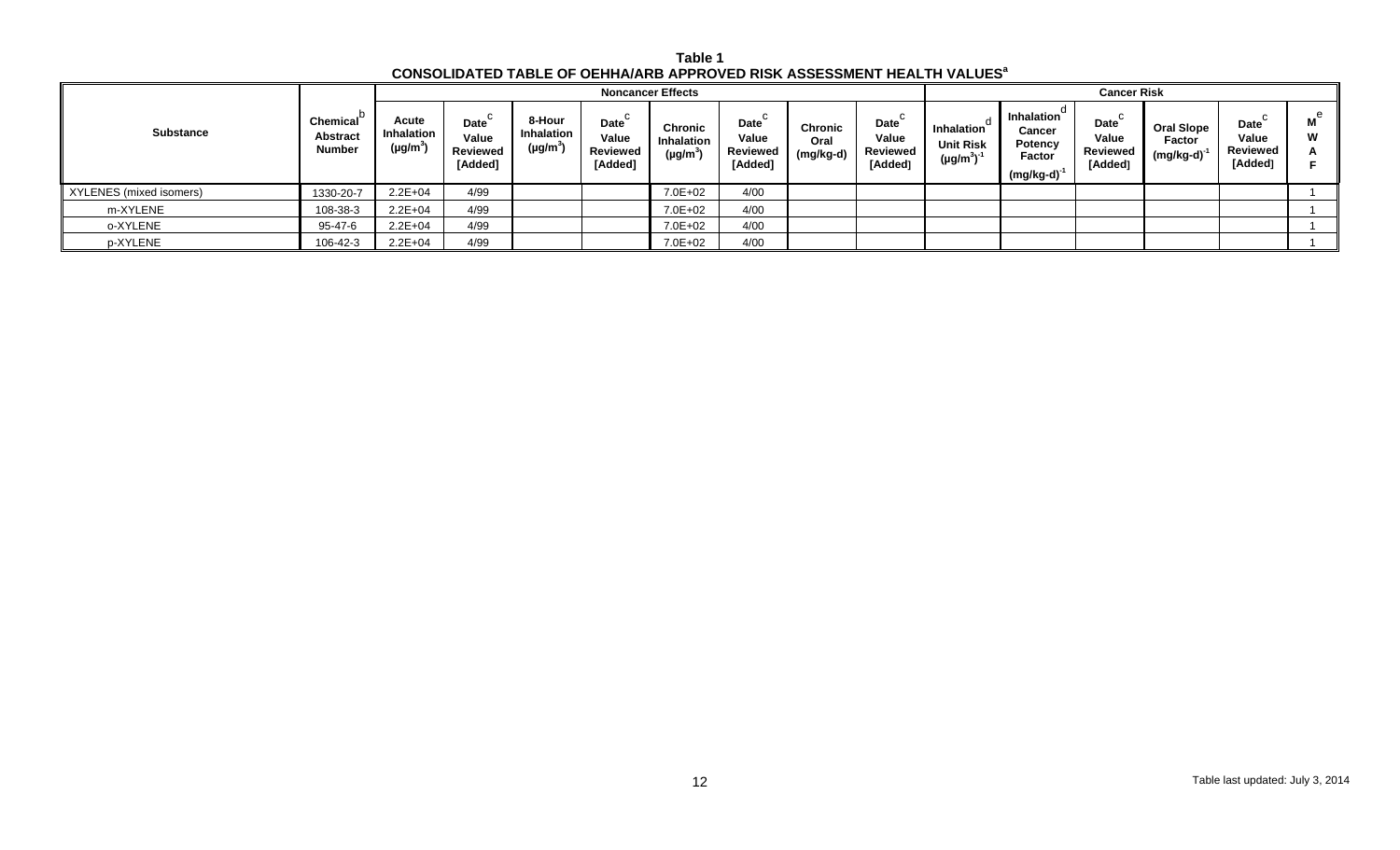| Table 1                                                                                   |
|-------------------------------------------------------------------------------------------|
| <b>CONSOLIDATED TABLE OF OEHHA/ARB APPROVED RISK ASSESSMENT HEALTH VALUES<sup>a</sup></b> |

|                         |                                       |                                |                                                   |                                       |                                      | <b>Noncancer Effects</b>                      |                                                   |                                     |                                             | <b>Cancer Risk</b>                                   |                                                                      |                                             |                                          |                                             |                          |  |
|-------------------------|---------------------------------------|--------------------------------|---------------------------------------------------|---------------------------------------|--------------------------------------|-----------------------------------------------|---------------------------------------------------|-------------------------------------|---------------------------------------------|------------------------------------------------------|----------------------------------------------------------------------|---------------------------------------------|------------------------------------------|---------------------------------------------|--------------------------|--|
| <b>Substance</b>        | Chemical<br>Abstract<br><b>Number</b> | Acute<br>Inhalation<br>(µg/m˚) | Date <sup>1</sup><br>Value<br>Reviewed<br>[Added] | 8-Hour<br>Inhalation<br>$(\mu g/m^3)$ | Date<br>Value<br>Reviewed<br>[Added] | Chronic<br><b>Inhalation</b><br>$(\mu g/m^3)$ | Date <sup>`</sup><br>Value<br>Reviewed<br>[Added] | <b>Chronic</b><br>Oral<br>(mg/kg-d) | Date<br>Value<br><b>Reviewed</b><br>[Added] | a<br>Inhalation<br><b>Unit Risk</b><br>$(\mu g/m^3)$ | <b>Inhalation</b><br>Cancer<br>Potency<br>Factor<br>$(mg/kg-d)^{-1}$ | Date<br>Value<br><b>Reviewed</b><br>[Added] | <b>Oral Slope</b><br>Factor<br>(mg/kg-d) | <b>Date</b><br>Value<br>Reviewed<br>[Added] | $\mathsf{M}^\Theta$<br>W |  |
| XYLENES (mixed isomers) | 1330-20-7                             | $2.2E + 04$                    | 4/99                                              |                                       |                                      | 7.0E+02                                       | 4/00                                              |                                     |                                             |                                                      |                                                                      |                                             |                                          |                                             |                          |  |
| m-XYLENE                | 108-38-3                              | $2.2E + 04$                    | 4/99                                              |                                       |                                      | 7.0E+02                                       | 4/00                                              |                                     |                                             |                                                      |                                                                      |                                             |                                          |                                             |                          |  |
| o-XYLENE                | 95-47-6                               | $2.2E + 04$                    | 4/99                                              |                                       |                                      | $7.0E + 02$                                   | 4/00                                              |                                     |                                             |                                                      |                                                                      |                                             |                                          |                                             |                          |  |
| p-XYLENE                | 106-42-3                              | $2.2E + 04$                    | 4/99                                              |                                       |                                      | $7.0E + 02$                                   | 4/00                                              |                                     |                                             |                                                      |                                                                      |                                             |                                          |                                             |                          |  |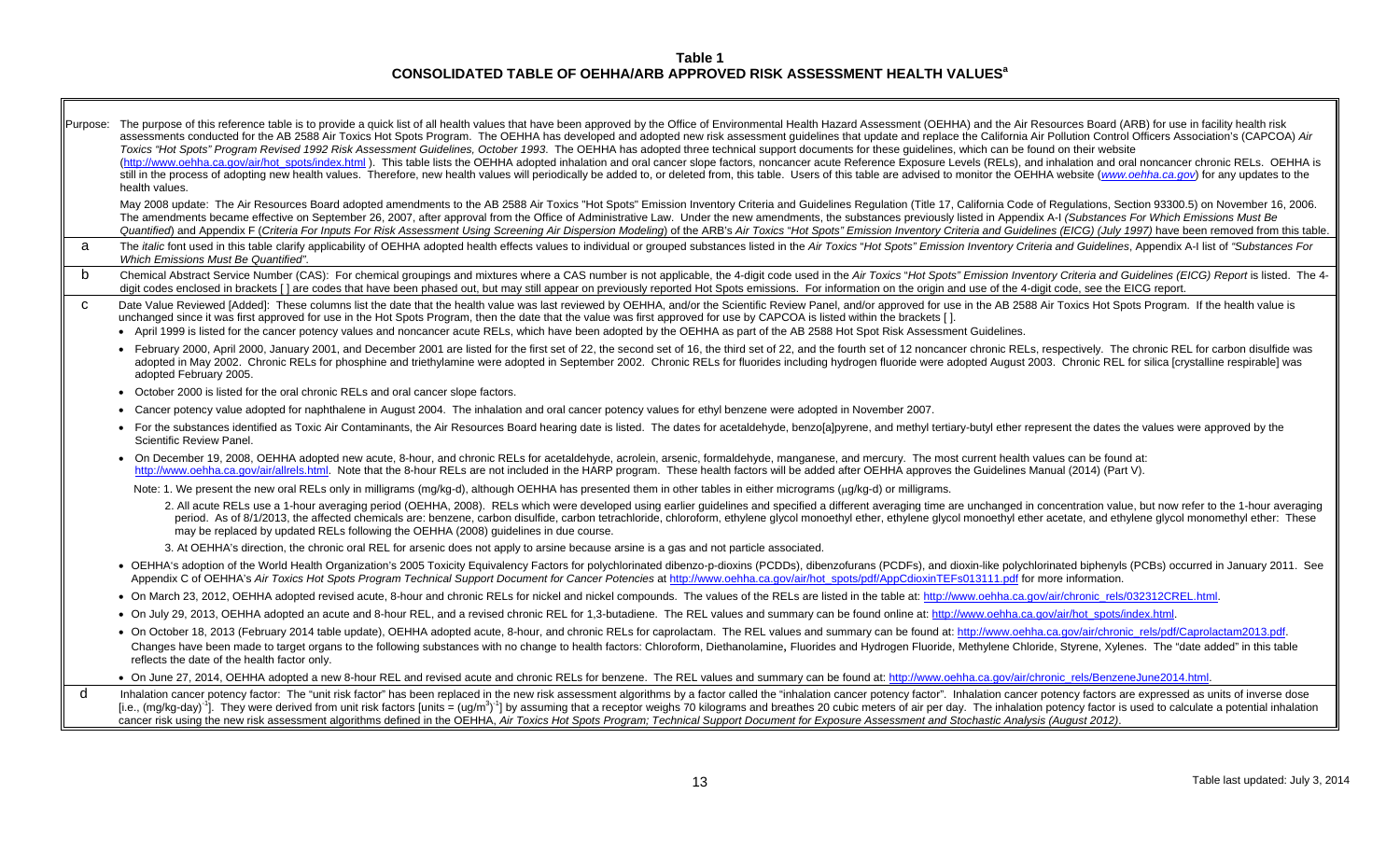**Table 1 CONSOLIDATED TABLE OF OEHHA/ARB APPROVED RISK ASSESSMENT HEALTH VALUES<sup>a</sup>**

Purpose: The purpose of this reference table is to provide a quick list of all health values that have been approved by the Office of Environmental Health Hazard Assessment (OEHHA) and the Air Resources Board (ARB) for use assessments conducted for the AB 2588 Air Toxics Hot Spots Program. The OEHHA has developed and adopted new risk assessment guidelines that update and replace the California Air Pollution Control Officers Association's (CA *Toxics "Hot Spots" Program Revised 1992 Risk Assessment Guidelines, October 1993*. The OEHHA has adopted three technical support documents for these guidelines, which can be found on their website (http://www.oehha.ca.gov/air/hot\_spots/index.html). This table lists the OEHHA adopted inhalation and oral cancer slope factors, noncancer acute Reference Exposure Levels (RELs), and inhalation and oral noncancer chronic R still in the process of adopting new health values. Therefore, new health values will periodically be added to, or deleted from, this table. Users of this table are advised to monitor the OEHHA website (www.oehha.ca.gov) f health values. May 2008 update: The Air Resources Board adopted amendments to the AB 2588 Air Toxics "Hot Spots" Emission Inventory Criteria and Guidelines Regulation (Title 17, California Code of Regulations, Section 93300.5) on Novembe The amendments became effective on September 26, 2007, after approval from the Office of Administrative Law. Under the new amendments, the substances previously listed in Appendix A-I (Substances For Which Emissions Must B Quantified) and Appendix F (Criteria For Inputs For Risk Assessment Using Screening Air Dispersion Modeling) of the ARB's Air Toxics "Hot Spots" Emission Inventory Criteria and Guidelines (EICG) (July 1997) have been remov a The *italic* font used in this table clarify applicability of OEHHA adopted health effects values to individual or grouped substances listed in the Air Toxics "Hot Spots" Emission Inventory Criteria and Guidelines, Appen *Which Emissions Must Be Quantified"*. b Chemical Abstract Service Number (CAS): For chemical groupings and mixtures where a CAS number is not applicable, the 4-digit code used in the Air Toxics "Hot Spots" Emission Inventory Criteria and Guidelines (EICG) Repo digit codes enclosed in brackets [] are codes that have been phased out, but may still appear on previously reported Hot Spots emissions. For information on the origin and use of the 4-digit code, see the EICG report. C Date Value Reviewed [Added]: These columns list the date that the health value was last reviewed by OEHHA, and/or the Scientific Review Panel, and/or approved for use in the AB 2588 Air Toxics Hot Spots Program. If the h unchanged since it was first approved for use in the Hot Spots Program, then the date that the value was first approved for use by CAPCOA is listed within the brackets [ ]. April 1999 is listed for the cancer potency values and noncancer acute RELs, which have been adopted by the OEHHA as part of the AB 2588 Hot Spot Risk Assessment Guidelines. • February 2000, April 2000, January 2001, and December 2001 are listed for the first set of 22, the second set of 16, the third set of 22, and the fourth set of 12 noncancer chronic RELs, respectively. The chronic REL for adopted in May 2002. Chronic RELs for phosphine and triethylamine were adopted in September 2002. Chronic RELs for fluorides including hydrogen fluoride were adopted August 2003. Chronic REL for silica [crystalline respira adopted February 2005. October 2000 is listed for the oral chronic RELs and oral cancer slope factors. Cancer potency value adopted for naphthalene in August 2004. The inhalation and oral cancer potency values for ethyl benzene were adopted in November 2007. • For the substances identified as Toxic Air Contaminants, the Air Resources Board hearing date is listed. The dates for acetaldehyde, benzo[a]pyrene, and methyl tertiary-butyl ether represent the dates the values were app Scientific Review Panel. On December 19, 2008, OEHHA adopted new acute, 8-hour, and chronic RELs for acetaldehyde, acrolein, arsenic, formaldehyde, manganese, and mercury. The most current health values can be found at: http://www.oehha.ca.gov/air/allrels.html. Note that the 8-hour RELs are not included in the HARP program. These health factors will be added after OEHHA approves the Guidelines Manual (2014) (Part V). Note: 1. We present the new oral RELs only in milligrams (mg/kg-d), although OEHHA has presented them in other tables in either micrograms (µg/kg-d) or milligrams. 2. All acute RELs use a 1-hour averaging period (OEHHA, 2008). RELs which were developed using earlier quidelines and specified a different averaging time are unchanged in concentration value, but now refer to the 1-hour a period. As of 8/1/2013, the affected chemicals are: benzene, carbon disulfide, carbon tetrachloride, chloroform, ethylene glycol monoethyl ether, ethylene glycol monoethyl ether acetate, and ethylene glycol monomethyl ethe may be replaced by updated RELs following the OEHHA (2008) guidelines in due course. 3. At OEHHA's direction, the chronic oral REL for arsenic does not apply to arsine because arsine is a gas and not particle associated. • OEHHA's adoption of the World Health Organization's 2005 Toxicity Equivalency Factors for polychlorinated dibenzo-p-dioxins (PCDDs), dibenzofurans (PCDFs), and dioxin-like polychlorinated biphenyls (PCBs) occurred in Jan Appendix C of OEHHA's Air Toxics Hot Spots Program Technical Support Document for Cancer Potencies at http://www.oehha.ca.gov/air/hot\_spots/pdf/AppCdioxinTEFs013111.pdf for more information. • On March 23, 2012, OEHHA adopted revised acute, 8-hour and chronic RELs for nickel and nickel compounds. The values of the RELs are listed in the table at: http://www.oehha.ca.gov/air/chronic\_rels/032312CREL.html. • On July 29, 2013, OEHHA adopted an acute and 8-hour REL, and a revised chronic REL for 1,3-butadiene. The REL values and summary can be found online at: http://www.oehha.ca.gov/air/hot\_spots/index.html. • On October 18, 2013 (February 2014 table update), OEHHA adopted acute, 8-hour, and chronic RELs for caprolactam. The REL values and summary can be found at: http://www.oehha.ca.gov/air/chronic\_rels/pdf/Caprolactam2013.pd Changes have been made to target organs to the following substances with no change to health factors: Chloroform, Diethanolamine, Fluorides and Hydrogen Fluoride, Methylene Chloride, Styrene, Xylenes. The "date added" in t reflects the date of the health factor only. On June 27, 2014, OEHHA adopted a new 8-hour REL and revised acute and chronic RELs for benzene. The REL values and summary can be found at: http://www.oehha.ca.gov/air/chronic\_rels/BenzeneJune2014.html. dInhalation cancer potency factor: The "unit risk factor" has been replaced in the new risk assessment algorithms by a factor called the "inhalation cancer potency factor". Inhalation cancer potency factors are expressed as [i.e., (mq/kq-day)<sup>-1</sup>]. They were derived from unit risk factors [units = (uq/m<sup>3</sup>)<sup>-1</sup>] by assuming that a receptor weighs 70 kilograms and breathes 20 cubic meters of air per day. The inhalation potency factor is used cancer risk using the new risk assessment algorithms defined in the OEHHA, *Air Toxics Hot Spots Program; Technical Support Document for Exposure Assessment and Stochastic Analysis (August 2012)*.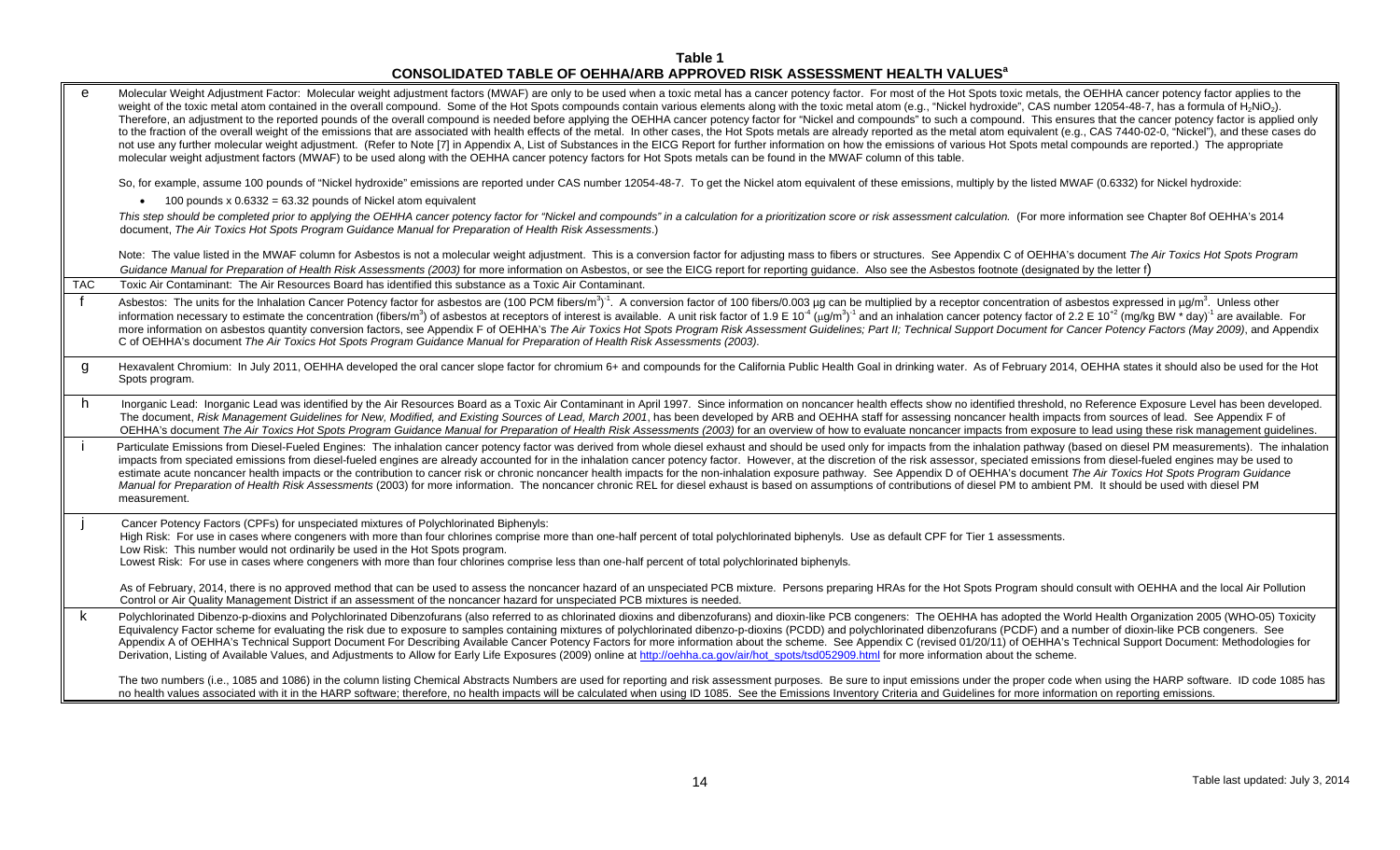## **Table 1 CONSOLIDATED TABLE OF OEHHA/ARB APPROVED RISK ASSESSMENT HEALTH VALUES<sup>a</sup>**

| $\mathbf{e}$ | Molecular Weight Adjustment Factor: Molecular weight adjustment factors (MWAF) are only to be used when a toxic metal has a cancer potency factor. For most of the Hot Spots toxic metals, the OEHHA cancer potency factor app<br>weight of the toxic metal atom contained in the overall compound. Some of the Hot Spots compounds contain various elements along with the toxic metal atom (e.g., "Nickel hydroxide", CAS number 12054-48-7, has a formula of<br>Therefore, an adjustment to the reported pounds of the overall compound is needed before applying the OEHHA cancer potency factor for "Nickel and compounds" to such a compound. This ensures that the cancer potency factor i<br>to the fraction of the overall weight of the emissions that are associated with health effects of the metal. In other cases, the Hot Spots metals are already reported as the metal atom equivalent (e.g., CAS 7440-02-0, "Nic<br>not use any further molecular weight adjustment. (Refer to Note [7] in Appendix A, List of Substances in the EICG Report for further information on how the emissions of various Hot Spots metal compounds are reported.) The<br>molecular weight adjustment factors (MWAF) to be used along with the OEHHA cancer potency factors for Hot Spots metals can be found in the MWAF column of this table. |
|--------------|-----------------------------------------------------------------------------------------------------------------------------------------------------------------------------------------------------------------------------------------------------------------------------------------------------------------------------------------------------------------------------------------------------------------------------------------------------------------------------------------------------------------------------------------------------------------------------------------------------------------------------------------------------------------------------------------------------------------------------------------------------------------------------------------------------------------------------------------------------------------------------------------------------------------------------------------------------------------------------------------------------------------------------------------------------------------------------------------------------------------------------------------------------------------------------------------------------------------------------------------------------------------------------------------------------------------------------------------------|
|              | So, for example, assume 100 pounds of "Nickel hydroxide" emissions are reported under CAS number 12054-48-7. To get the Nickel atom equivalent of these emissions, multiply by the listed MWAF (0.6332) for Nickel hydroxide:                                                                                                                                                                                                                                                                                                                                                                                                                                                                                                                                                                                                                                                                                                                                                                                                                                                                                                                                                                                                                                                                                                                 |
|              | 100 pounds $x$ 0.6332 = 63.32 pounds of Nickel atom equivalent<br>$\bullet$                                                                                                                                                                                                                                                                                                                                                                                                                                                                                                                                                                                                                                                                                                                                                                                                                                                                                                                                                                                                                                                                                                                                                                                                                                                                   |
|              | This step should be completed prior to applying the OEHHA cancer potency factor for "Nickel and compounds" in a calculation for a prioritization score or risk assessment calculation. (For more information see Chapter 8of O<br>document, The Air Toxics Hot Spots Program Guidance Manual for Preparation of Health Risk Assessments.)                                                                                                                                                                                                                                                                                                                                                                                                                                                                                                                                                                                                                                                                                                                                                                                                                                                                                                                                                                                                     |
|              | Note: The value listed in the MWAF column for Asbestos is not a molecular weight adjustment. This is a conversion factor for adjusting mass to fibers or structures. See Appendix C of OEHHA's document The Air Toxics Hot Spo                                                                                                                                                                                                                                                                                                                                                                                                                                                                                                                                                                                                                                                                                                                                                                                                                                                                                                                                                                                                                                                                                                                |
|              | Guidance Manual for Preparation of Health Risk Assessments (2003) for more information on Asbestos, or see the EICG report for reporting guidance. Also see the Asbestos footnote (designated by the letter f)                                                                                                                                                                                                                                                                                                                                                                                                                                                                                                                                                                                                                                                                                                                                                                                                                                                                                                                                                                                                                                                                                                                                |
| <b>TAC</b>   | Toxic Air Contaminant: The Air Resources Board has identified this substance as a Toxic Air Contaminant.                                                                                                                                                                                                                                                                                                                                                                                                                                                                                                                                                                                                                                                                                                                                                                                                                                                                                                                                                                                                                                                                                                                                                                                                                                      |
| f            | Asbestos: The units for the Inhalation Cancer Potency factor for asbestos are (100 PCM fibers/m <sup>3</sup> ) <sup>-1</sup> . A conversion factor of 100 fibers/0.003 µg can be multiplied by a receptor concentration of asbestos expressed in µg<br>information necessary to estimate the concentration (fibers/m <sup>3</sup> ) of asbestos at receptors of interest is available. A unit risk factor of 1.9 E 10 <sup>-4</sup> ( $\mu$ g/m <sup>3</sup> ) <sup>-1</sup> and an inhalation cancer potency factor of 2.2 E 10 <sup></sup><br>more information on asbestos quantity conversion factors, see Appendix F of OEHHA's The Air Toxics Hot Spots Program Risk Assessment Guidelines; Part II; Technical Support Document for Cancer Potency Factors (May 2009), an<br>C of OEHHA's document The Air Toxics Hot Spots Program Guidance Manual for Preparation of Health Risk Assessments (2003).                                                                                                                                                                                                                                                                                                                                                                                                                                   |
| g            | Hexavalent Chromium: In July 2011, OEHHA developed the oral cancer slope factor for chromium 6+ and compounds for the California Public Health Goal in drinking water. As of February 2014, OEHHA states it should also be use<br>Spots program.                                                                                                                                                                                                                                                                                                                                                                                                                                                                                                                                                                                                                                                                                                                                                                                                                                                                                                                                                                                                                                                                                              |
| h            | Inorganic Lead: Inorganic Lead was identified by the Air Resources Board as a Toxic Air Contaminant in April 1997. Since information on noncancer health effects show no identified threshold, no Reference Exposure Level has<br>The document, Risk Management Guidelines for New, Modified, and Existing Sources of Lead, March 2001, has been developed by ARB and OEHHA staff for assessing noncancer health impacts from sources of lead. See Appendix F of<br>OEHHA's document The Air Toxics Hot Spots Program Guidance Manual for Preparation of Health Risk Assessments (2003) for an overview of how to evaluate noncancer impacts from exposure to lead using these risk management qui                                                                                                                                                                                                                                                                                                                                                                                                                                                                                                                                                                                                                                            |
|              | Particulate Emissions from Diesel-Fueled Engines: The inhalation cancer potency factor was derived from whole diesel exhaust and should be used only for impacts from the inhalation pathway (based on diesel PM measurements)<br>impacts from speciated emissions from diesel-fueled engines are already accounted for in the inhalation cancer potency factor. However, at the discretion of the risk assessor, speciated emissions from diesel-fueled engines<br>estimate acute noncancer health impacts or the contribution to cancer risk or chronic noncancer health impacts for the non-inhalation exposure pathway. See Appendix D of OEHHA's document The Air Toxics Hot Spots Program Gu<br>Manual for Preparation of Health Risk Assessments (2003) for more information. The noncancer chronic REL for diesel exhaust is based on assumptions of contributions of diesel PM to ambient PM. It should be used with diesel<br>measurement.                                                                                                                                                                                                                                                                                                                                                                                          |
|              | Cancer Potency Factors (CPFs) for unspeciated mixtures of Polychlorinated Biphenyls:                                                                                                                                                                                                                                                                                                                                                                                                                                                                                                                                                                                                                                                                                                                                                                                                                                                                                                                                                                                                                                                                                                                                                                                                                                                          |
|              | High Risk: For use in cases where congeners with more than four chlorines comprise more than one-half percent of total polychlorinated biphenyls. Use as default CPF for Tier 1 assessments.<br>Low Risk: This number would not ordinarily be used in the Hot Spots program.<br>Lowest Risk: For use in cases where congeners with more than four chlorines comprise less than one-half percent of total polychlorinated biphenyls.                                                                                                                                                                                                                                                                                                                                                                                                                                                                                                                                                                                                                                                                                                                                                                                                                                                                                                           |
|              | As of February, 2014, there is no approved method that can be used to assess the noncancer hazard of an unspeciated PCB mixture. Persons preparing HRAs for the Hot Spots Program should consult with OEHHA and the local Air<br>Control or Air Quality Management District if an assessment of the noncancer hazard for unspeciated PCB mixtures is needed.                                                                                                                                                                                                                                                                                                                                                                                                                                                                                                                                                                                                                                                                                                                                                                                                                                                                                                                                                                                  |
| k            | Polychlorinated Dibenzo-p-dioxins and Polychlorinated Dibenzofurans (also referred to as chlorinated dioxins and dibenzofurans) and dioxin-like PCB congeners: The OEHHA has adopted the World Health Organization 2005 (WHO-0<br>Equivalency Factor scheme for evaluating the risk due to exposure to samples containing mixtures of polychlorinated dibenzo-p-dioxins (PCDD) and polychlorinated dibenzofurans (PCDF) and a number of dioxin-like PCB congener<br>Appendix A of OEHHA's Technical Support Document For Describing Available Cancer Potency Factors for more information about the scheme. See Appendix C (revised 01/20/11) of OEHHA's Technical Support Document: Methodologies<br>Derivation, Listing of Available Values, and Adjustments to Allow for Early Life Exposures (2009) online at http://oehha.ca.gov/air/hot_spots/tsd052909.html for more information about the scheme.                                                                                                                                                                                                                                                                                                                                                                                                                                     |
|              | The two numbers (i.e., 1085 and 1086) in the column listing Chemical Abstracts Numbers are used for reporting and risk assessment purposes. Be sure to input emissions under the proper code when using the HARP software. ID<br>no health values associated with it in the HARP software; therefore, no health impacts will be calculated when using ID 1085. See the Emissions Inventory Criteria and Guidelines for more information on reporting emissions.                                                                                                                                                                                                                                                                                                                                                                                                                                                                                                                                                                                                                                                                                                                                                                                                                                                                               |